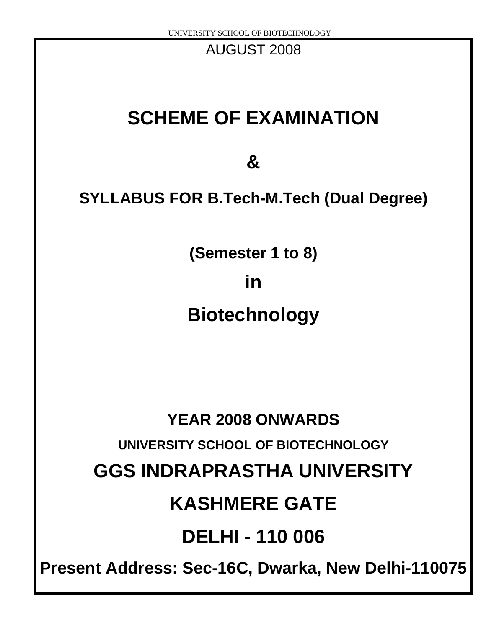AUGUST 2008

## **SCHEME OF EXAMINATION**

**&**

## **SYLLABUS FOR B.Tech-M.Tech (Dual Degree)**

**(Semester 1 to 8)**

**in**

## **Biotechnology**

# **YEAR 2008 ONWARDS UNIVERSITY SCHOOL OF BIOTECHNOLOGY GGS INDRAPRASTHA UNIVERSITY KASHMERE GATE DELHI - 110 006**

**Present Address: Sec-16C, Dwarka, New Delhi-110075**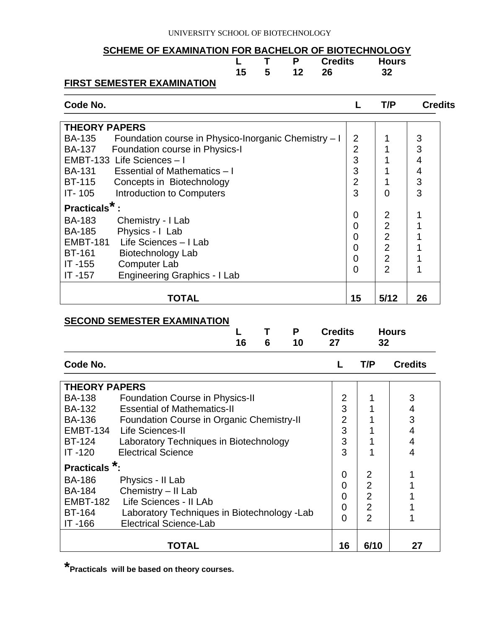#### UNIVERSITY SCHOOL OF BIOTECHNOLOGY

#### **SCHEME OF EXAMINATION FOR BACHELOR OF BIOTECHNOLOGY**

|                                   |  |            | L T P Credits Hours |  |
|-----------------------------------|--|------------|---------------------|--|
|                                   |  | 15 5 12 26 |                     |  |
| <b>FIRST SEMESTER EXAMINATION</b> |  |            |                     |  |

### **Code No. L T/P Credits**

| <b>THEORY PAPERS</b>                                           |                |                |    |
|----------------------------------------------------------------|----------------|----------------|----|
| Foundation course in Physico-Inorganic Chemistry - I<br>BA-135 | 2              |                | 3  |
| <b>BA-137</b><br>Foundation course in Physics-I                | $\overline{2}$ |                | 3  |
| EMBT-133 Life Sciences - I                                     | 3              |                | 4  |
| BA-131<br>Essential of Mathematics - I                         | 3              |                | 4  |
| <b>BT-115</b><br>Concepts in Biotechnology                     | $\overline{2}$ |                | 3  |
| <b>Introduction to Computers</b><br>IT-105                     | 3              | ∩              | 3  |
| Practicals <sup>*</sup>                                        |                |                |    |
| <b>BA-183</b><br>Chemistry - I Lab                             | 0              | 2              |    |
| Physics - I Lab<br><b>BA-185</b>                               | 0              | $\overline{2}$ |    |
| Life Sciences - I Lab<br><b>EMBT-181</b>                       | $\overline{0}$ | $\overline{2}$ |    |
|                                                                | $\overline{0}$ | $\overline{2}$ |    |
| <b>BT-161</b><br>Biotechnology Lab                             | 0              | $\overline{2}$ |    |
| <b>Computer Lab</b><br>IT-155                                  | $\overline{0}$ | $\overline{2}$ |    |
| <b>Engineering Graphics - I Lab</b><br>$IT -157$               |                |                |    |
|                                                                |                |                |    |
| TOTAL                                                          | 15             | 5/12           | 26 |

#### **SECOND SEMESTER EXAMINATION**

| 16 | 6 | 10 | L T P Credits Hours<br>27 32 |  |
|----|---|----|------------------------------|--|
|    |   |    |                              |  |

| Code No.             |                                                  |                | T/P            | <b>Credits</b> |  |  |  |  |
|----------------------|--------------------------------------------------|----------------|----------------|----------------|--|--|--|--|
| <b>THEORY PAPERS</b> |                                                  |                |                |                |  |  |  |  |
| <b>BA-138</b>        | <b>Foundation Course in Physics-II</b>           | 2              |                | 3              |  |  |  |  |
| <b>BA-132</b>        | <b>Essential of Mathematics-II</b>               | 3              |                | 4              |  |  |  |  |
| <b>BA-136</b>        | <b>Foundation Course in Organic Chemistry-II</b> | $\overline{2}$ |                | 3              |  |  |  |  |
| <b>EMBT-134</b>      | Life Sciences-II                                 | 3              |                | 4              |  |  |  |  |
| <b>BT-124</b>        | Laboratory Techniques in Biotechnology           | 3              |                | 4              |  |  |  |  |
| $IT -120$            | <b>Electrical Science</b>                        | 3              |                | 4              |  |  |  |  |
| <b>Practicals</b>    |                                                  |                |                |                |  |  |  |  |
| <b>BA-186</b>        | Physics - II Lab                                 | $\overline{0}$ | 2              |                |  |  |  |  |
| <b>BA-184</b>        | Chemistry - II Lab                               | $\overline{0}$ | $\overline{2}$ |                |  |  |  |  |
| <b>EMBT-182</b>      | Life Sciences - II LAb                           | 0              | $\overline{2}$ |                |  |  |  |  |
| <b>BT-164</b>        | Laboratory Techniques in Biotechnology - Lab     | $\overline{0}$ | $\overline{2}$ |                |  |  |  |  |
| IT-166               | <b>Electrical Science-Lab</b>                    | $\overline{0}$ | $\overline{2}$ |                |  |  |  |  |
|                      | <b>TOTAL</b>                                     | 16             | 6/10           | 27             |  |  |  |  |

**\*Practicals will be based on theory courses.**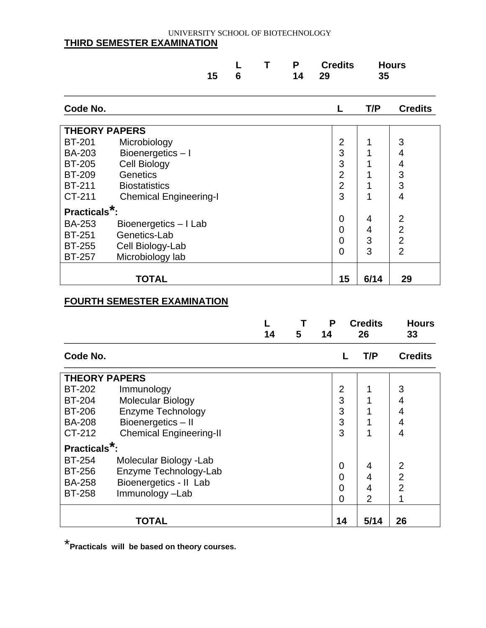#### UNIVERSITY SCHOOL OF BIOTECHNOLOGY **THIRD SEMESTER EXAMINATION**

|                           |                               | 15 | 6 | Т | P<br>14 | 29 | <b>Credits</b> | 35   | <b>Hours</b>                     |
|---------------------------|-------------------------------|----|---|---|---------|----|----------------|------|----------------------------------|
| Code No.                  |                               |    |   |   |         |    | L              | T/P  | <b>Credits</b>                   |
|                           | <b>THEORY PAPERS</b>          |    |   |   |         |    |                |      |                                  |
| <b>BT-201</b>             | Microbiology                  |    |   |   |         |    | 2              | 1    | 3                                |
| <b>BA-203</b>             | Bioenergetics-I               |    |   |   |         |    | 3              | 1    | 4                                |
| <b>BT-205</b>             | <b>Cell Biology</b>           |    |   |   |         |    | 3              |      | 4                                |
| <b>BT-209</b>             | <b>Genetics</b>               |    |   |   |         |    | $\overline{2}$ |      | 3                                |
| <b>BT-211</b>             | <b>Biostatistics</b>          |    |   |   |         |    | $\overline{2}$ | 1    | 3                                |
| CT-211                    | <b>Chemical Engineering-I</b> |    |   |   |         |    | 3              | 1    | 4                                |
| Practicals <sup>*</sup> : |                               |    |   |   |         |    |                |      |                                  |
| <b>BA-253</b>             | Bioenergetics - I Lab         |    |   |   |         |    | 0              | 4    | 2                                |
| <b>BT-251</b>             | Genetics-Lab                  |    |   |   |         |    | 0              | 4    | $\overline{2}$<br>$\overline{2}$ |
| <b>BT-255</b>             | Cell Biology-Lab              |    |   |   |         |    | 0              | 3    |                                  |
| <b>BT-257</b>             | Microbiology lab              |    |   |   |         |    | 0              | 3    | $\overline{2}$                   |
|                           | TOTAL                         |    |   |   |         |    | 15             | 6/14 | 29                               |

#### **FOURTH SEMESTER EXAMINATION**

|                           |                                | 14 | 5 | P<br>14 |    | <b>Credits</b><br>26 | <b>Hours</b><br>33 |
|---------------------------|--------------------------------|----|---|---------|----|----------------------|--------------------|
| Code No.                  |                                |    |   |         | L  | T/P                  | <b>Credits</b>     |
| <b>THEORY PAPERS</b>      |                                |    |   |         |    |                      |                    |
| <b>BT-202</b>             | Immunology                     |    |   |         | 2  |                      | 3                  |
| <b>BT-204</b>             | <b>Molecular Biology</b>       |    |   |         | 3  |                      | 4                  |
| <b>BT-206</b>             | <b>Enzyme Technology</b>       |    |   |         | 3  |                      | 4                  |
| <b>BA-208</b>             | Bioenergetics-II               |    |   |         | 3  |                      | 4                  |
| CT-212                    | <b>Chemical Engineering-II</b> |    |   |         | 3  | 1                    | 4                  |
| Practicals <sup>*</sup> : |                                |    |   |         |    |                      |                    |
| <b>BT-254</b>             | Molecular Biology - Lab        |    |   |         |    |                      | $\overline{2}$     |
| <b>BT-256</b>             | Enzyme Technology-Lab          |    |   |         | 0  | 4                    | $\overline{2}$     |
| <b>BA-258</b>             | Bioenergetics - Il Lab         |    |   |         | 0  | 4                    |                    |
| <b>BT-258</b>             | Immunology-Lab                 |    |   |         | 0  | 4                    | $\overline{2}$     |
|                           |                                |    |   |         | 0  | 2                    | 1                  |
|                           | <b>TOTAL</b>                   |    |   |         | 14 | 5/14                 | 26                 |

\* **Practicals will be based on theory courses.**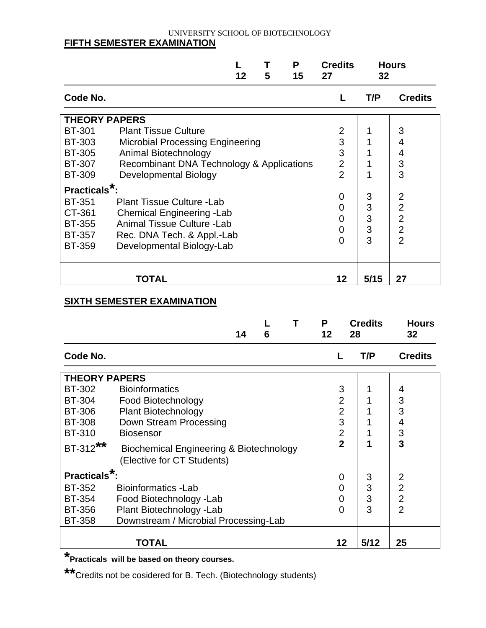#### UNIVERSITY SCHOOL OF BIOTECHNOLOGY **FIFTH SEMESTER EXAMINATION**

|                           |                                           | 12 | 5 | P<br>15 | <b>Credits</b><br>27 | 32   | <b>Hours</b>   |
|---------------------------|-------------------------------------------|----|---|---------|----------------------|------|----------------|
| Code No.                  |                                           |    |   |         |                      | T/P  | <b>Credits</b> |
| <b>THEORY PAPERS</b>      |                                           |    |   |         |                      |      |                |
| <b>BT-301</b>             | <b>Plant Tissue Culture</b>               |    |   |         | $\overline{2}$       |      | 3              |
| <b>BT-303</b>             | <b>Microbial Processing Engineering</b>   |    |   |         | 3                    |      | 4              |
| <b>BT-305</b>             | Animal Biotechnology                      |    |   |         | 3                    |      | 4              |
| <b>BT-307</b>             | Recombinant DNA Technology & Applications |    |   |         | $\overline{2}$       |      | 3              |
| <b>BT-309</b>             | Developmental Biology                     |    |   |         | $\overline{2}$       |      | 3              |
| Practicals <sup>*</sup> : |                                           |    |   |         |                      |      |                |
| <b>BT-351</b>             | <b>Plant Tissue Culture - Lab</b>         |    |   |         | 0                    | 3    | $\overline{2}$ |
| CT-361                    | <b>Chemical Engineering - Lab</b>         |    |   |         | 0                    | 3    | $\overline{2}$ |
| <b>BT-355</b>             | Animal Tissue Culture - Lab               |    |   |         | $\overline{0}$       | 3    | $\overline{2}$ |
| <b>BT-357</b>             | Rec. DNA Tech. & Appl.-Lab                |    |   |         | $\overline{0}$       | 3    | $\overline{2}$ |
| <b>BT-359</b>             | Developmental Biology-Lab                 |    |   |         | $\overline{0}$       | 3    | $\overline{2}$ |
|                           | TOTAL                                     |    |   |         | 12                   | 5/15 | 27             |

#### **SIXTH SEMESTER EXAMINATION**

|                           |                                                    | 14 | 6 | P<br>12        | 28 | <b>Credits</b> | <b>Hours</b><br>32 |
|---------------------------|----------------------------------------------------|----|---|----------------|----|----------------|--------------------|
| Code No.                  |                                                    |    |   |                |    | T/P            | <b>Credits</b>     |
| <b>THEORY PAPERS</b>      |                                                    |    |   |                |    |                |                    |
| <b>BT-302</b>             | <b>Bioinformatics</b>                              |    |   | 3              |    | 1              | 4                  |
| <b>BT-304</b>             | Food Biotechnology                                 |    |   | $\overline{2}$ |    |                | 3                  |
| <b>BT-306</b>             | <b>Plant Biotechnology</b>                         |    |   | $\overline{2}$ |    |                | 3                  |
| <b>BT-308</b>             | Down Stream Processing                             |    |   | 3              |    | 1              | 4                  |
| <b>BT-310</b>             | <b>Biosensor</b>                                   |    |   | $\overline{2}$ |    | 1              | 3                  |
| BT-312**                  | <b>Biochemical Engineering &amp; Biotechnology</b> |    |   | $\overline{2}$ |    | 1              | 3                  |
|                           | (Elective for CT Students)                         |    |   |                |    |                |                    |
| Practicals <sup>*</sup> : |                                                    |    |   | 0              |    | 3              | $\overline{2}$     |
| <b>BT-352</b>             | Bioinformatics - Lab                               |    |   | 0              |    | 3              | $\overline{2}$     |
| <b>BT-354</b>             | Food Biotechnology - Lab                           |    |   | 0              |    | 3              | $\overline{2}$     |
| <b>BT-356</b>             | Plant Biotechnology - Lab                          |    |   | 0              |    | 3              | $\overline{2}$     |
| <b>BT-358</b>             | Downstream / Microbial Processing-Lab              |    |   |                |    |                |                    |
|                           | TOTAL                                              |    |   | 12             |    | 5/12           | 25                 |

**\*Practicals will be based on theory courses.**

**\*\***Credits not be cosidered for B. Tech. (Biotechnology students)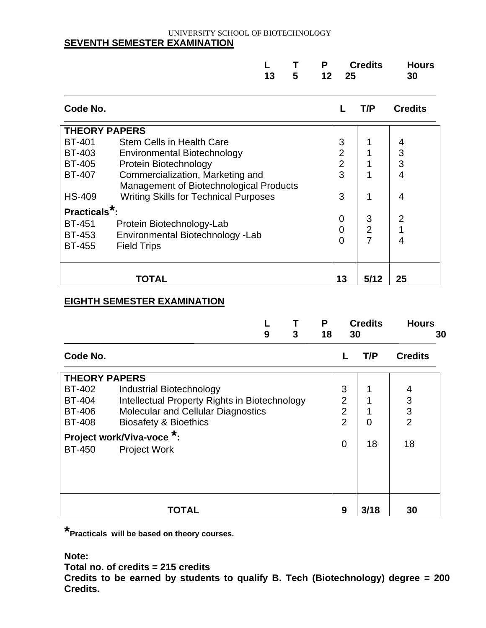#### UNIVERSITY SCHOOL OF BIOTECHNOLOGY **SEVENTH SEMESTER EXAMINATION**

|  |  | L T P Credits Hours |  |
|--|--|---------------------|--|
|  |  | 13 5 12 25 30       |  |

| Code No.                  |                                              |                | T/P            | <b>Credits</b> |
|---------------------------|----------------------------------------------|----------------|----------------|----------------|
| <b>THEORY PAPERS</b>      |                                              |                |                |                |
| <b>BT-401</b>             | <b>Stem Cells in Health Care</b>             | 3              |                | 4              |
| <b>BT-403</b>             | Environmental Biotechnology                  | $\overline{2}$ |                | 3              |
| <b>BT-405</b>             | Protein Biotechnology                        | 2              |                | 3              |
| <b>BT-407</b>             | Commercialization, Marketing and             | 3              |                | 4              |
|                           | Management of Biotechnological Products      |                |                |                |
| <b>HS-409</b>             | <b>Writing Skills for Technical Purposes</b> | 3              | 1              | 4              |
| Practicals <sup>*</sup> : |                                              |                |                |                |
| <b>BT-451</b>             | Protein Biotechnology-Lab                    | $\overline{0}$ | 3              | $\overline{2}$ |
| <b>BT-453</b>             | Environmental Biotechnology -Lab             | 0              | $\overline{2}$ |                |
| <b>BT-455</b>             | <b>Field Trips</b>                           | 0              | 7              | 4              |
|                           |                                              |                |                |                |
|                           |                                              |                |                |                |
|                           | TOTAL                                        | 13             | 5/12           | 25             |

#### **EIGHTH SEMESTER EXAMINATION**

|                      | 9<br>3                                           | P | 18             | 30 | <b>Credits</b> | <b>Hours</b><br>30 |  |
|----------------------|--------------------------------------------------|---|----------------|----|----------------|--------------------|--|
| Code No.             |                                                  |   |                |    | T/P            | <b>Credits</b>     |  |
| <b>THEORY PAPERS</b> |                                                  |   |                |    |                |                    |  |
| <b>BT-402</b>        | <b>Industrial Biotechnology</b>                  |   | 3              |    |                | 4                  |  |
| <b>BT-404</b>        | Intellectual Property Rights in Biotechnology    |   | $\overline{2}$ |    |                | 3                  |  |
| <b>BT-406</b>        | Molecular and Cellular Diagnostics               |   | $\overline{2}$ |    |                | 3                  |  |
| <b>BT-408</b>        | <b>Biosafety &amp; Bioethics</b>                 |   | $\overline{2}$ |    | 0              | $\overline{2}$     |  |
| <b>BT-450</b>        | Project work/Viva-voce *:<br><b>Project Work</b> |   | 0              |    | 18             | 18                 |  |
|                      |                                                  |   |                |    |                |                    |  |
|                      | <b>TOTAL</b>                                     |   | 9              |    | 3/18           | 30                 |  |

**\*Practicals will be based on theory courses.**

**Note:**

**Total no. of credits = 215 credits**

**Credits to be earned by students to qualify B. Tech (Biotechnology) degree = 200 Credits.**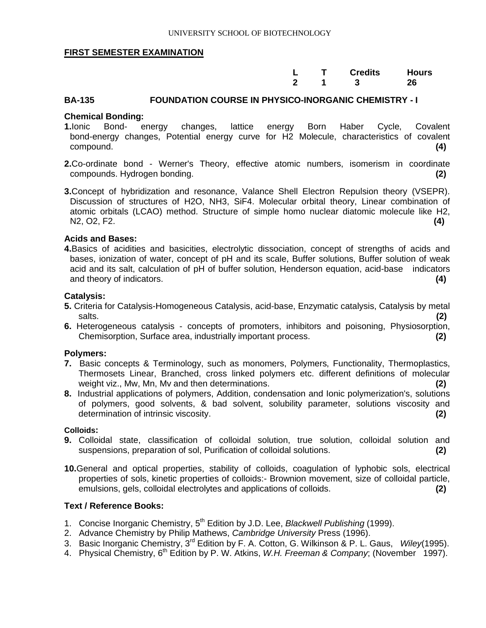|  | L T Credits Hours |  |
|--|-------------------|--|
|  | 2 1 3 26          |  |

#### **BA-135 FOUNDATION COURSE IN PHYSICO-INORGANIC CHEMISTRY - I**

#### **Chemical Bonding:**

- **1.**Ionic Bond- energy changes, lattice energy Born Haber Cycle, Covalent bond-energy changes, Potential energy curve for H2 Molecule, characteristics of covalent compound. **(4)**
- **2.**Co-ordinate bond Werner's Theory, effective atomic numbers, isomerism in coordinate compounds. Hydrogen bonding. **(2)**
- **3.**Concept of hybridization and resonance, Valance Shell Electron Repulsion theory (VSEPR). Discussion of structures of H2O, NH3, SiF4. Molecular orbital theory, Linear combination of atomic orbitals (LCAO) method. Structure of simple homo nuclear diatomic molecule like H2, N2, O2, F2. **(4)**

#### **Acids and Bases:**

**4.**Basics of acidities and basicities, electrolytic dissociation, concept of strengths of acids and bases, ionization of water, concept of pH and its scale, Buffer solutions, Buffer solution of weak acid and its salt, calculation of pH of buffer solution, Henderson equation, acid-base indicators and theory of indicators. **(4)**

#### **Catalysis:**

- **5.** Criteria for Catalysis-Homogeneous Catalysis, acid-base, Enzymatic catalysis, Catalysis by metal salts. **(2)**
- **6.** Heterogeneous catalysis concepts of promoters, inhibitors and poisoning, Physiosorption, Chemisorption, Surface area, industrially important process. **(2)**

#### **Polymers:**

- **7.** Basic concepts & Terminology, such as monomers, Polymers, Functionality, Thermoplastics, Thermosets Linear, Branched, cross linked polymers etc. different definitions of molecular weight viz., Mw, Mn, Mv and then determinations. **(2)**
- **8.** Industrial applications of polymers, Addition, condensation and Ionic polymerization's, solutions of polymers, good solvents, & bad solvent, solubility parameter, solutions viscosity and determination of intrinsic viscosity. **(2)**

#### **Colloids:**

- **9.** Colloidal state, classification of colloidal solution, true solution, colloidal solution and suspensions, preparation of sol, Purification of colloidal solutions. **(2)**
- **10.**General and optical properties, stability of colloids, coagulation of lyphobic sols, electrical properties of sols, kinetic properties of colloids:- Brownion movement, size of colloidal particle, emulsions, gels, colloidal electrolytes and applications of colloids. **(2)**

- 1. Concise Inorganic Chemistry, 5th Edition by J.D. Lee, *Blackwell Publishing* (1999).
- 2. Advance Chemistry by Philip Mathews, *Cambridge University* Press (1996).
- 3. Basic Inorganic Chemistry, 3rd Edition by F. A. Cotton, G. Wilkinson & P. L. Gaus, *Wiley*(1995).
- 4. Physical Chemistry, 6<sup>th</sup> Edition by P. W. Atkins, *W.H. Freeman & Company*; (November 1997).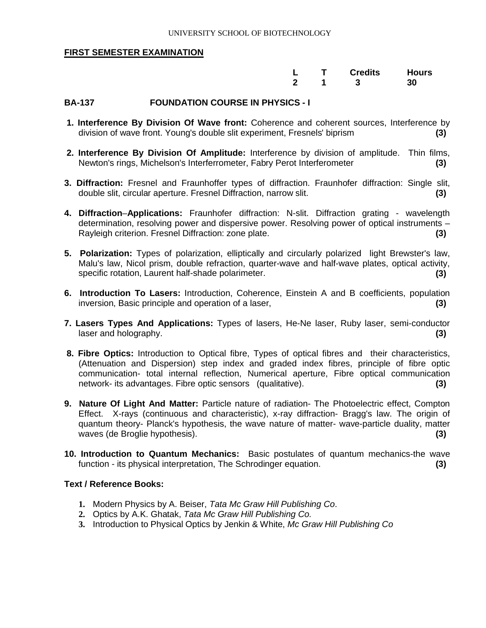|  | L T Credits Hours |  |
|--|-------------------|--|
|  | 2 1 3 30          |  |

#### **BA-137 FOUNDATION COURSE IN PHYSICS - I**

- **1. Interference By Division Of Wave front:** Coherence and coherent sources, Interference by division of wave front. Young's double slit experiment, Fresnels' biprism **(3)**
- **2. Interference By Division Of Amplitude:** Interference by division of amplitude. Thin films, Newton's rings, Michelson's Interferrometer, Fabry Perot Interferometer **(3)**
- **3. Diffraction:** Fresnel and Fraunhoffer types of diffraction. Fraunhofer diffraction: Single slit, double slit, circular aperture. Fresnel Diffraction, narrow slit. **(3)**
- **4. Diffraction**–**Applications:** Fraunhofer diffraction: N-slit. Diffraction grating wavelength determination, resolving power and dispersive power. Resolving power of optical instruments – Rayleigh criterion. Fresnel Diffraction: zone plate. **(3)**
- **5. Polarization:** Types of polarization, elliptically and circularly polarized light Brewster's law, Malu's law, Nicol prism, double refraction, quarter-wave and half-wave plates, optical activity, specific rotation, Laurent half-shade polarimeter. **(3)**
- **6. Introduction To Lasers:** Introduction, Coherence, Einstein A and B coefficients, population inversion, Basic principle and operation of a laser, **(3)**
- **7. Lasers Types And Applications:** Types of lasers, He-Ne laser, Ruby laser, semi-conductor laser and holography. **(3)**
- **8. Fibre Optics:** Introduction to Optical fibre, Types of optical fibres and their characteristics, (Attenuation and Dispersion) step index and graded index fibres, principle of fibre optic communication- total internal reflection, Numerical aperture, Fibre optical communication network- its advantages. Fibre optic sensors (qualitative). **(3)**
- **9. Nature Of Light And Matter:** Particle nature of radiation- The Photoelectric effect, Compton Effect. X-rays (continuous and characteristic), x-ray diffraction- Bragg's law. The origin of quantum theory- Planck's hypothesis, the wave nature of matter- wave-particle duality, matter waves (de Broglie hypothesis). **(3)**
- **10. Introduction to Quantum Mechanics:** Basic postulates of quantum mechanics-the wave function - its physical interpretation, The Schrodinger equation. **(3)**

- **1.** Modern Physics by A. Beiser, *Tata Mc Graw Hill Publishing Co*.
- **2.** Optics by A.K. Ghatak, *Tata Mc Graw Hill Publishing Co.*
- **3.** Introduction to Physical Optics by Jenkin & White, *Mc Graw Hill Publishing Co*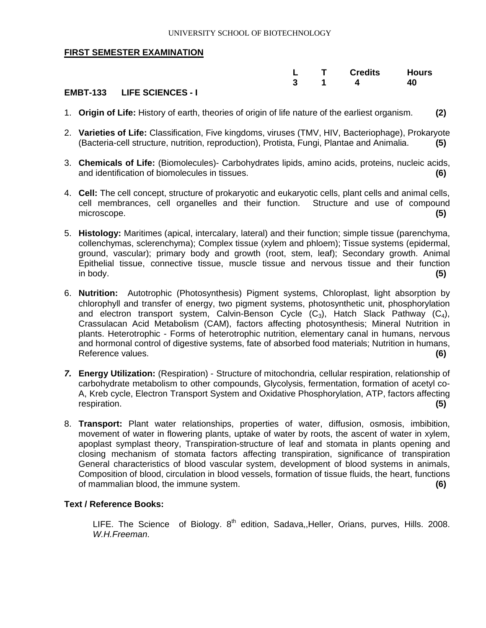|  |  | L T Credits Hours            |  |
|--|--|------------------------------|--|
|  |  | $3 \quad 1 \quad 4 \quad 40$ |  |
|  |  |                              |  |

#### **EMBT-133 LIFE SCIENCES - I**

- 1. **Origin of Life:** History of earth, theories of origin of life nature of the earliest organism. **(2)**
- 2. **Varieties of Life:** Classification, Five kingdoms, viruses (TMV, HIV, Bacteriophage), Prokaryote (Bacteria-cell structure, nutrition, reproduction), Protista, Fungi, Plantae and Animalia. **(5)**
- 3. **Chemicals of Life:** (Biomolecules)- Carbohydrates lipids, amino acids, proteins, nucleic acids, and identification of biomolecules in tissues. **(6)**
- 4. **Cell:** The cell concept, structure of prokaryotic and eukaryotic cells, plant cells and animal cells, cell membrances, cell organelles and their function. Structure and use of compound microscope. **(5)**
- 5. **Histology:** Maritimes (apical, intercalary, lateral) and their function; simple tissue (parenchyma, collenchymas, sclerenchyma); Complex tissue (xylem and phloem); Tissue systems (epidermal, ground, vascular); primary body and growth (root, stem, leaf); Secondary growth. Animal Epithelial tissue, connective tissue, muscle tissue and nervous tissue and their function in body. **(5)**
- 6. **Nutrition:**Autotrophic (Photosynthesis) Pigment systems, Chloroplast, light absorption by chlorophyll and transfer of energy, two pigment systems, photosynthetic unit, phosphorylation and electron transport system, Calvin-Benson Cycle  $(C_3)$ , Hatch Slack Pathway  $(C_4)$ , Crassulacan Acid Metabolism (CAM), factors affecting photosynthesis; Mineral Nutrition in plants. Heterotrophic - Forms of heterotrophic nutrition, elementary canal in humans, nervous and hormonal control of digestive systems, fate of absorbed food materials; Nutrition in humans, Reference values. **(6)**
- *7.* **Energy Utilization:** (Respiration) Structure of mitochondria, cellular respiration, relationship of carbohydrate metabolism to other compounds, Glycolysis, fermentation, formation of acetyl co-A, Kreb cycle, Electron Transport System and Oxidative Phosphorylation, ATP, factors affecting respiration. **(5)**
- 8. **Transport:** Plant water relationships, properties of water, diffusion, osmosis, imbibition, movement of water in flowering plants, uptake of water by roots, the ascent of water in xylem, apoplast symplast theory, Transpiration-structure of leaf and stomata in plants opening and closing mechanism of stomata factors affecting transpiration, significance of transpiration General characteristics of blood vascular system, development of blood systems in animals, Composition of blood, circulation in blood vessels, formation of tissue fluids, the heart, functions of mammalian blood, the immune system. **(6)**

#### **Text / Reference Books:**

LIFE. The Science of Biology.  $8<sup>th</sup>$  edition, Sadava, Heller, Orians, purves, Hills. 2008. *W.H.Freeman*.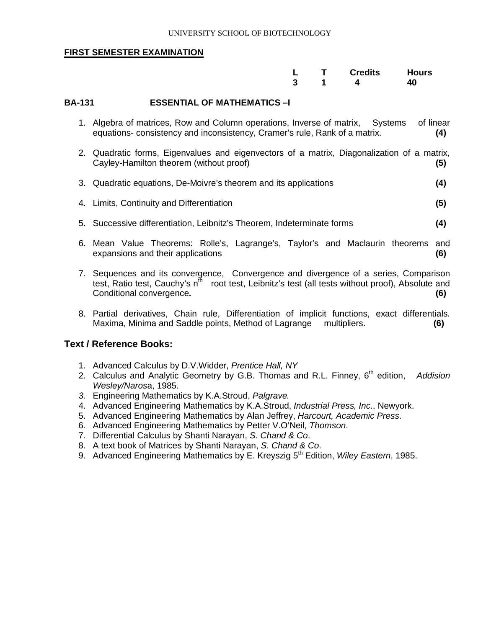|  | L T Credits Hours            |  |
|--|------------------------------|--|
|  | $3 \quad 1 \quad 4 \quad 40$ |  |

#### **BA-131 ESSENTIAL OF MATHEMATICS –I**

- 1. Algebra of matrices, Row and Column operations, Inverse of matrix, Systems of linear equations- consistency and inconsistency, Cramer's rule, Rank of a matrix. **(4)**
- 2. Quadratic forms, Eigenvalues and eigenvectors of a matrix, Diagonalization of a matrix, Cayley-Hamilton theorem (without proof) **(5)**
- 3. Quadratic equations, De-Moivre's theorem and its applications **(4)**
- 4. Limits, Continuity and Differentiation **(5)**
- 5. Successive differentiation, Leibnitz's Theorem, Indeterminate forms **(4)**
- 6. Mean Value Theorems: Rolle's, Lagrange's, Taylor's and Maclaurin theorems and expansions and their applications **(6)**
- 7. Sequences and its convergence, Convergence and divergence of a series, Comparison test, Ratio test, Cauchy's  $n^{\text{th}}$  root test, Leibnitz's test (all tests without proof), Absolute and Conditional convergence**. (6)**
- 8. Partial derivatives, Chain rule, Differentiation of implicit functions, exact differentials. Maxima, Minima and Saddle points, Method of Lagrange multipliers. **(6)**

- 1. Advanced Calculus by D.V.Widder, *Prentice Hall, NY*
- 2. Calculus and Analytic Geometry by G.B. Thomas and R.L. Finney, 6<sup>th</sup> edition, Addision *Wesley/Naros*a, 1985.
- *3.* Engineering Mathematics by K.A.Stroud, *Palgrave.*
- 4. Advanced Engineering Mathematics by K.A.Stroud, *Industrial Press, Inc*., Newyork.
- 5. Advanced Engineering Mathematics by Alan Jeffrey, *Harcourt, Academic Press*.
- 6. Advanced Engineering Mathematics by Petter V.O'Neil, *Thomson*.
- 7. Differential Calculus by Shanti Narayan, *S. Chand & Co*.
- 8. A text book of Matrices by Shanti Narayan, *S. Chand & Co*.
- 9. Advanced Engineering Mathematics by E. Kreyszig 5<sup>th</sup> Edition, *Wiley Eastern*, 1985.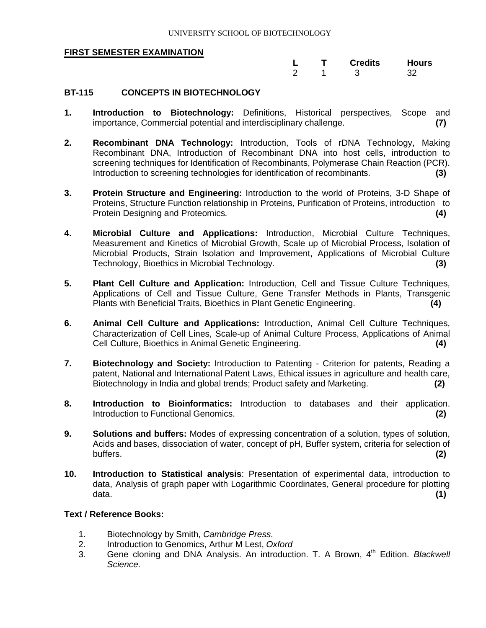|  |  | L T Credits Hours |  |
|--|--|-------------------|--|
|  |  | 2 1 3 32          |  |

#### **BT-115 CONCEPTS IN BIOTECHNOLOGY**

- **1. Introduction to Biotechnology:** Definitions, Historical perspectives, Scope and importance, Commercial potential and interdisciplinary challenge. **(7)**
- **2. Recombinant DNA Technology:** Introduction, Tools of rDNA Technology, Making Recombinant DNA, Introduction of Recombinant DNA into host cells, introduction to screening techniques for Identification of Recombinants, Polymerase Chain Reaction (PCR). Introduction to screening technologies for identification of recombinants. **(3)**
- **3. Protein Structure and Engineering:** Introduction to the world of Proteins, 3-D Shape of Proteins, Structure Function relationship in Proteins, Purification of Proteins, introduction to Protein Designing and Proteomics. **(4)**
- **4. Microbial Culture and Applications:** Introduction, Microbial Culture Techniques, Measurement and Kinetics of Microbial Growth, Scale up of Microbial Process, Isolation of Microbial Products, Strain Isolation and Improvement, Applications of Microbial Culture Technology, Bioethics in Microbial Technology. **(3)**
- **5. Plant Cell Culture and Application:** Introduction, Cell and Tissue Culture Techniques, Applications of Cell and Tissue Culture, Gene Transfer Methods in Plants, Transgenic Plants with Beneficial Traits, Bioethics in Plant Genetic Engineering. **(4)**
- **6. Animal Cell Culture and Applications:** Introduction, Animal Cell Culture Techniques, Characterization of Cell Lines, Scale-up of Animal Culture Process, Applications of Animal Cell Culture, Bioethics in Animal Genetic Engineering. **(4)**
- **7. Biotechnology and Society:** Introduction to Patenting Criterion for patents, Reading a patent, National and International Patent Laws, Ethical issues in agriculture and health care, Biotechnology in India and global trends; Product safety and Marketing. **(2)**
- **8. Introduction to Bioinformatics:** Introduction to databases and their application. Introduction to Functional Genomics. **(2)**
- **9. Solutions and buffers:** Modes of expressing concentration of a solution, types of solution, Acids and bases, dissociation of water, concept of pH, Buffer system, criteria for selection of buffers. buffers. **(2)**
- **10. Introduction to Statistical analysis**: Presentation of experimental data, introduction to data, Analysis of graph paper with Logarithmic Coordinates, General procedure for plotting data. **(1)**

- 1. Biotechnology by Smith, *Cambridge Press*.
- 2. Introduction to Genomics, Arthur M Lest, *Oxford*
- 3. Gene cloning and DNA Analysis. An introduction. T. A Brown, 4th Edition. *Blackwell Science*.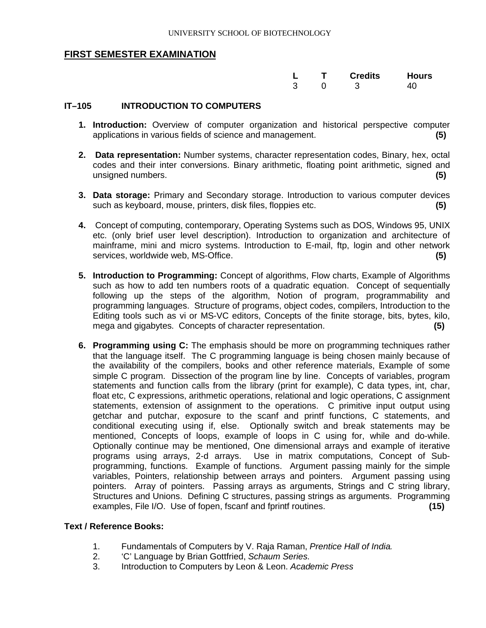|  | L T Credits Hours |  |
|--|-------------------|--|
|  | 3 0 3 40          |  |

#### **IT–105 INTRODUCTION TO COMPUTERS**

- **1. Introduction:** Overview of computer organization and historical perspective computer applications in various fields of science and management. **(5)**
- **2. Data representation:** Number systems, character representation codes, Binary, hex, octal codes and their inter conversions. Binary arithmetic, floating point arithmetic, signed and unsigned numbers. **(5)**
- **3. Data storage:** Primary and Secondary storage. Introduction to various computer devices such as keyboard, mouse, printers, disk files, floppies etc. **(5)**
- **4.** Concept of computing, contemporary, Operating Systems such as DOS, Windows 95, UNIX etc. (only brief user level description). Introduction to organization and architecture of mainframe, mini and micro systems. Introduction to E-mail, ftp, login and other network services, worldwide web, MS-Office. **(5)**
- **5. Introduction to Programming:** Concept of algorithms, Flow charts, Example of Algorithms such as how to add ten numbers roots of a quadratic equation. Concept of sequentially following up the steps of the algorithm, Notion of program, programmability and programming languages. Structure of programs, object codes, compilers, Introduction to the Editing tools such as vi or MS-VC editors, Concepts of the finite storage, bits, bytes, kilo, mega and gigabytes. Concepts of character representation. **(5)**
- **6. Programming using C:** The emphasis should be more on programming techniques rather that the language itself. The C programming language is being chosen mainly because of the availability of the compilers, books and other reference materials, Example of some simple C program. Dissection of the program line by line. Concepts of variables, program statements and function calls from the library (print for example), C data types, int, char, float etc, C expressions, arithmetic operations, relational and logic operations, C assignment statements, extension of assignment to the operations. C primitive input output using getchar and putchar, exposure to the scanf and printf functions, C statements, and conditional executing using if, else. Optionally switch and break statements may be mentioned, Concepts of loops, example of loops in C using for, while and do-while. Optionally continue may be mentioned, One dimensional arrays and example of iterative programs using arrays, 2-d arrays. Use in matrix computations, Concept of Subprogramming, functions. Example of functions. Argument passing mainly for the simple variables, Pointers, relationship between arrays and pointers. Argument passing using pointers. Array of pointers. Passing arrays as arguments, Strings and C string library, Structures and Unions. Defining C structures, passing strings as arguments. Programming examples, File I/O. Use of fopen, fscanf and fprintf routines. **(15)**

- 1. Fundamentals of Computers by V. Raja Raman, *Prentice Hall of India.*
- 2. 'C' Language by Brian Gottfried, *Schaum Series*.
- 3. Introduction to Computers by Leon & Leon. *Academic Press*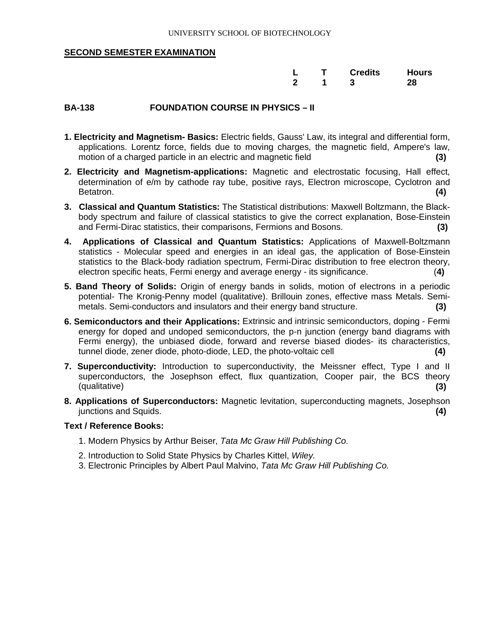|  | L T Credits Hours |  |
|--|-------------------|--|
|  | 2 1 3 28          |  |

#### **BA-138 FOUNDATION COURSE IN PHYSICS – II**

- **1. Electricity and Magnetism- Basics:** Electric fields, Gauss' Law, its integral and differential form, applications. Lorentz force, fields due to moving charges, the magnetic field, Ampere's law, motion of a charged particle in an electric and magnetic field **(3)**
- **2. Electricity and Magnetism-applications:** Magnetic and electrostatic focusing, Hall effect, determination of e/m by cathode ray tube, positive rays, Electron microscope, Cyclotron and Betatron. Betatron. **(4)**
- **3. Classical and Quantum Statistics:** The Statistical distributions: Maxwell Boltzmann, the Blackbody spectrum and failure of classical statistics to give the correct explanation, Bose-Einstein and Fermi-Dirac statistics, their comparisons, Fermions and Bosons. **(3)**
- **4. Applications of Classical and Quantum Statistics:** Applications of Maxwell-Boltzmann statistics - Molecular speed and energies in an ideal gas, the application of Bose-Einstein statistics to the Black-body radiation spectrum, Fermi-Dirac distribution to free electron theory, electron specific heats, Fermi energy and average energy - its significance. (**4)**
- **5. Band Theory of Solids:** Origin of energy bands in solids, motion of electrons in a periodic potential- The Kronig-Penny model (qualitative). Brillouin zones, effective mass Metals. Semimetals. Semi-conductors and insulators and their energy band structure. **(3)**
- **6. Semiconductors and their Applications:** Extrinsic and intrinsic semiconductors, doping Fermi energy for doped and undoped semiconductors, the p-n junction (energy band diagrams with Fermi energy), the unbiased diode, forward and reverse biased diodes- its characteristics, tunnel diode, zener diode, photo-diode, LED, the photo-voltaic cell **(4)**
- **7. Superconductivity:** Introduction to superconductivity, the Meissner effect, Type I and II superconductors, the Josephson effect, flux quantization, Cooper pair, the BCS theory (qualitative) **(3)**
- **8. Applications of Superconductors:** Magnetic levitation, superconducting magnets, Josephson junctions and Squids. **(4)**

- 1. Modern Physics by Arthur Beiser, *Tata Mc Graw Hill Publishing Co*.
- 2. Introduction to Solid State Physics by Charles Kittel, *Wiley.*
- 3. Electronic Principles by Albert Paul Malvino, *Tata Mc Graw Hill Publishing Co.*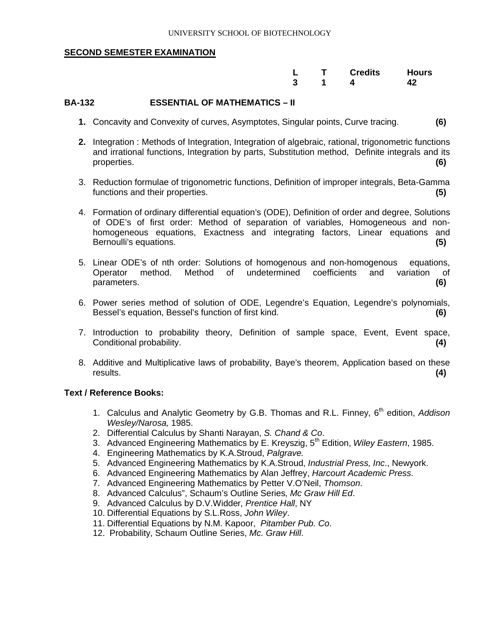|  | L T Credits Hours               |  |
|--|---------------------------------|--|
|  | $3 \qquad 1 \qquad 4 \qquad 42$ |  |

#### **BA-132 ESSENTIAL OF MATHEMATICS – II**

- **1.** Concavity and Convexity of curves, Asymptotes, Singular points, Curve tracing. **(6)**
- **2.** Integration : Methods of Integration, Integration of algebraic, rational, trigonometric functions and irrational functions, Integration by parts, Substitution method, Definite integrals and its properties. **(6)**
- 3. Reduction formulae of trigonometric functions, Definition of improper integrals, Beta-Gamma functions and their properties. **(5)**
- 4. Formation of ordinary differential equation's (ODE), Definition of order and degree, Solutions of ODE's of first order: Method of separation of variables, Homogeneous and nonhomogeneous equations, Exactness and integrating factors, Linear equations and Bernoulli's equations. **(5)**
- 5. Linear ODE's of nth order: Solutions of homogenous and non-homogenous equations, Operator method. Method of undetermined coefficients and variation of parameters. **(6)**
- 6. Power series method of solution of ODE, Legendre's Equation, Legendre's polynomials, Bessel's equation, Bessel's function of first kind. **(6)**
- 7. Introduction to probability theory, Definition of sample space, Event, Event space, Conditional probability. **(4)**
- 8. Additive and Multiplicative laws of probability, Baye's theorem, Application based on these results. **(4)**

- 1. Calculus and Analytic Geometry by G.B. Thomas and R.L. Finney, 6<sup>th</sup> edition, *Addison Wesley/Narosa,* 1985.
- 2. Differential Calculus by Shanti Narayan, *S. Chand & Co*.
- 3. Advanced Engineering Mathematics by E. Kreyszig, 5th Edition, *Wiley Eastern*, 1985.
- 4. Engineering Mathematics by K.A.Stroud, *Palgrave.*
- 5. Advanced Engineering Mathematics by K.A.Stroud, *Industrial Press, Inc*., Newyork.
- 6. Advanced Engineering Mathematics by Alan Jeffrey, *Harcourt Academic Press*.
- 7. Advanced Engineering Mathematics by Petter V.O'Neil, *Thomson*.
- 8. Advanced Calculus", Schaum's Outline Series, *Mc Graw Hill Ed*.
- 9. Advanced Calculus by D.V.Widder, *Prentice Hall*, NY
- 10. Differential Equations by S.L.Ross, *John Wiley*.
- 11. Differential Equations by N.M. Kapoor, *Pitamber Pub. Co*.
- 12. Probability, Schaum Outline Series, *Mc. Graw Hill*.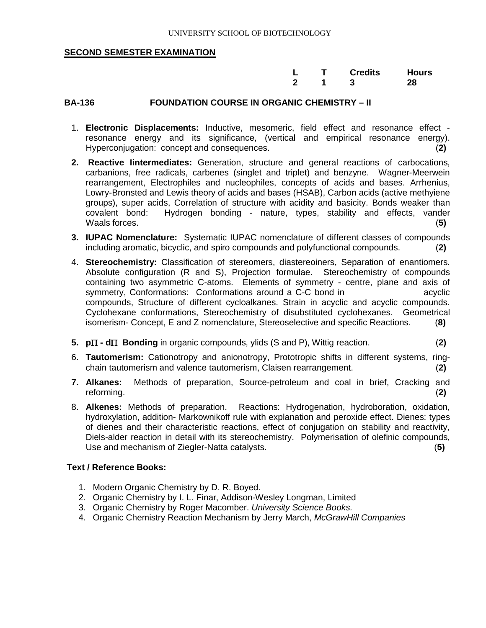|  | L T Credits Hours |  |
|--|-------------------|--|
|  | 2 1 3 28          |  |

#### **BA-136 FOUNDATION COURSE IN ORGANIC CHEMISTRY – II**

- 1. **Electronic Displacements:** Inductive, mesomeric, field effect and resonance effect resonance energy and its significance, (vertical and empirical resonance energy). Hyperconjugation: concept and consequences. (**2)**
- **2. Reactive Iintermediates:** Generation, structure and general reactions of carbocations, carbanions, free radicals, carbenes (singlet and triplet) and benzyne. Wagner-Meerwein rearrangement, Electrophiles and nucleophiles, concepts of acids and bases. Arrhenius, Lowry-Bronsted and Lewis theory of acids and bases (HSAB), Carbon acids (active methyiene groups), super acids, Correlation of structure with acidity and basicity. Bonds weaker than covalent bond: Hydrogen bonding - nature, types, stability and effects, vander Waals forces. (**5)**
- **3. IUPAC Nomenclature:** Systematic IUPAC nomenclature of different classes of compounds including aromatic, bicyclic, and spiro compounds and polyfunctional compounds. (**2)**
- 4. **Stereochemistry:** Classification of stereomers, diastereoiners, Separation of enantiomers. Absolute configuration (R and S), Projection formulae. Stereochemistry of compounds containing two asymmetric C-atoms. Elements of symmetry - centre, plane and axis of symmetry, Conformations: Conformations around a C-C bond in acyclic compounds, Structure of different cycloalkanes. Strain in acyclic and acyclic compounds. Cyclohexane conformations, Stereochemistry of disubstituted cyclohexanes. Geometrical isomerism- Concept, E and Z nomenclature, Stereoselective and specific Reactions. (**8)**
- **5. p** $\Pi$  **d** $\Pi$  **Bonding** in organic compounds, ylids (S and P), Wittig reaction. (2)
- 6. **Tautomerism:** Cationotropy and anionotropy, Prototropic shifts in different systems, ringchain tautomerism and valence tautomerism, Claisen rearrangement. (**2)**
- **7. Alkanes:** Methods of preparation, Source-petroleum and coal in brief, Cracking and reforming. (**2)**
- 8. **Alkenes:** Methods of preparation. Reactions: Hydrogenation, hydroboration, oxidation, hydroxylation, addition- Markownikoff rule with explanation and peroxide effect. Dienes: types of dienes and their characteristic reactions, effect of conjugation on stability and reactivity, Diels-alder reaction in detail with its stereochemistry. Polymerisation of olefinic compounds, Use and mechanism of Ziegler-Natta catalysts. (**5)**

- 1. Modern Organic Chemistry by D. R. Boyed.
- 2. Organic Chemistry by I. L. Finar, Addison-Wesley Longman, Limited
- 3. Organic Chemistry by Roger Macomber. *University Science Books.*
- 4. Organic Chemistry Reaction Mechanism by Jerry March, *McGrawHill Companies*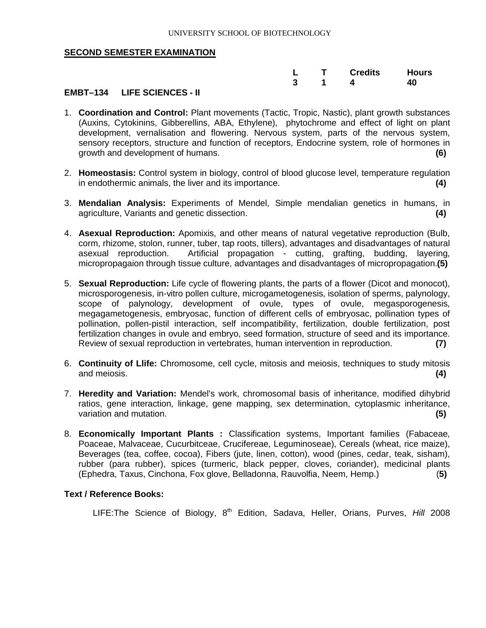|  | L T Credits Hours |  |
|--|-------------------|--|
|  | 3 1 4 4 40        |  |

#### **EMBT–134 LIFE SCIENCES - II**

- 1. **Coordination and Control:** Plant movements (Tactic, Tropic, Nastic), plant growth substances (Auxins, Cytokinins, Gibberellins, ABA, Ethylene), phytochrome and effect of light on plant development, vernalisation and flowering. Nervous system, parts of the nervous system, sensory receptors, structure and function of receptors, Endocrine system, role of hormones in growth and development of humans. **(6)**
- 2. **Homeostasis:** Control system in biology, control of blood glucose level, temperature regulation in endothermic animals, the liver and its importance. **(4)**
- 3. **Mendalian Analysis:** Experiments of Mendel, Simple mendalian genetics in humans, in agriculture, Variants and genetic dissection. **(4)**
- 4. **Asexual Reproduction:** Apomixis, and other means of natural vegetative reproduction (Bulb, corm, rhizome, stolon, runner, tuber, tap roots, tillers), advantages and disadvantages of natural asexual reproduction. Artificial propagation - cutting, grafting, budding, layering, micropropagaion through tissue culture, advantages and disadvantages of micropropagation.**(5)**
- 5. **Sexual Reproduction:** Life cycle of flowering plants, the parts of a flower (Dicot and monocot), microsporogenesis, in-vitro pollen culture, microgametogenesis, isolation of sperms, palynology, scope of palynology, development of ovule, types of ovule, megasporogenesis, megagametogenesis, embryosac, function of different cells of embryosac, pollination types of pollination, pollen-pistil interaction, self incompatibility, fertilization, double fertilization, post fertilization changes in ovule and embryo, seed formation, structure of seed and its importance. Review of sexual reproduction in vertebrates, human intervention in reproduction. **(7)**
- 6. **Continuity of Llife:** Chromosome, cell cycle, mitosis and meiosis, techniques to study mitosis and meiosis. **(4)**
- 7. **Heredity and Variation:** Mendel's work, chromosomal basis of inheritance, modified dihybrid ratios, gene interaction, linkage, gene mapping, sex determination, cytoplasmic inheritance, variation and mutation. **(5)**
- 8. **Economically Important Plants :** Classification systems, Important families (Fabaceae, Poaceae, Malvaceae, Cucurbitceae, Crucifereae, Leguminoseae), Cereals (wheat, rice maize), Beverages (tea, coffee, cocoa), Fibers (jute, linen, cotton), wood (pines, cedar, teak, sisham), rubber (para rubber), spices (turmeric, black pepper, cloves, coriander), medicinal plants (Ephedra, Taxus, Cinchona, Fox glove, Belladonna, Rauvolfia, Neem, Hemp.) (**5)**

#### **Text / Reference Books:**

LIFE: The Science of Biology, 8<sup>th</sup> Edition, Sadava, Heller, Orians, Purves, *Hill* 2008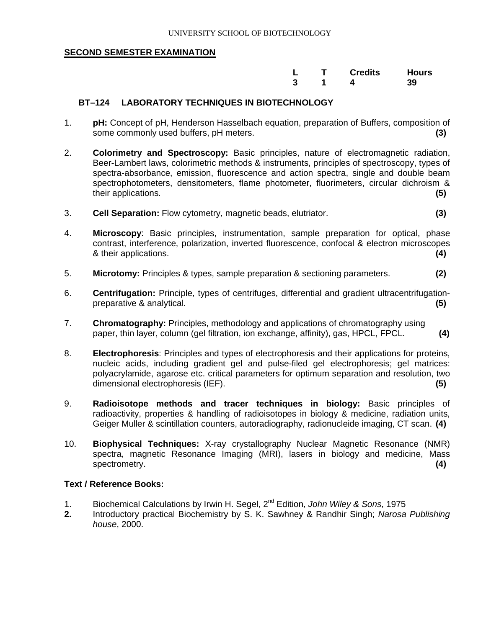|  | L T Credits Hours |  |
|--|-------------------|--|
|  | 3 1 4 39          |  |

#### **BT–124 LABORATORY TECHNIQUES IN BIOTECHNOLOGY**

- 1. **pH:** Concept of pH, Henderson Hasselbach equation, preparation of Buffers, composition of some commonly used buffers, pH meters. **(3)**
- 2. **Colorimetry and Spectroscopy:** Basic principles, nature of electromagnetic radiation, Beer-Lambert laws, colorimetric methods & instruments, principles of spectroscopy, types of spectra-absorbance, emission, fluorescence and action spectra, single and double beam spectrophotometers, densitometers, flame photometer, fluorimeters, circular dichroism & their applications. **(5)**
- 3. **Cell Separation:** Flow cytometry, magnetic beads, elutriator. **(3)**
- 4. **Microscopy**: Basic principles, instrumentation, sample preparation for optical, phase contrast, interference, polarization, inverted fluorescence, confocal & electron microscopes & their applications. **(4)**
- 5. **Microtomy:** Principles & types, sample preparation & sectioning parameters. **(2)**
- 6. **Centrifugation:** Principle, types of centrifuges, differential and gradient ultracentrifugationpreparative & analytical. **(5)**
- 7. **Chromatography:** Principles, methodology and applications of chromatography using paper, thin layer, column (gel filtration, ion exchange, affinity), gas, HPCL, FPCL. **(4)**
- 8. **Electrophoresis**: Principles and types of electrophoresis and their applications for proteins, nucleic acids, including gradient gel and pulse-filed gel electrophoresis; gel matrices: polyacrylamide, agarose etc. critical parameters for optimum separation and resolution, two dimensional electrophoresis (IEF). **(5)**
- 9. **Radioisotope methods and tracer techniques in biology:** Basic principles of radioactivity, properties & handling of radioisotopes in biology & medicine, radiation units, Geiger Muller & scintillation counters, autoradiography, radionucleide imaging, CT scan. **(4)**
- 10. **Biophysical Techniques:** X-ray crystallography Nuclear Magnetic Resonance (NMR) spectra, magnetic Resonance Imaging (MRI), lasers in biology and medicine, Mass spectrometry. **(4)** Spectrometry. **(4)** Spectrometry **(4)** Spectrometry **(4)** Spectrometry **(4)** Spectrometry **(4)** Spectrometry **(4)** Spectrometry **(4)** Spectrometry **(4)** Spectrometry **(4)** Spectrometry **(4)** Spectrometr

- 1. Biochemical Calculations by Irwin H. Segel, 2nd Edition, *John Wiley & Sons*, 1975
- **2.** Introductory practical Biochemistry by S. K. Sawhney & Randhir Singh; *Narosa Publishing house*, 2000.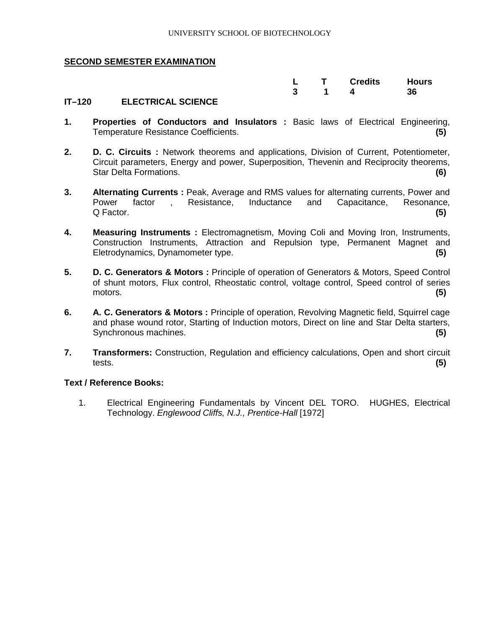|  | L T Credits Hours               |  |
|--|---------------------------------|--|
|  | $3 \qquad 1 \qquad 4 \qquad 36$ |  |

#### **IT–120 ELECTRICAL SCIENCE**

- **1. Properties of Conductors and Insulators :** Basic laws of Electrical Engineering, Temperature Resistance Coefficients. **(5)**
- **2. D. C. Circuits :** Network theorems and applications, Division of Current, Potentiometer, Circuit parameters, Energy and power, Superposition, Thevenin and Reciprocity theorems, Star Delta Formations. **(6)**
- **3. Alternating Currents :** Peak, Average and RMS values for alternating currents, Power and Power factor , Resistance, Inductance and Capacitance, Resonance, Q Factor. **(5)**
- **4. Measuring Instruments :** Electromagnetism, Moving Coli and Moving Iron, Instruments, Construction Instruments, Attraction and Repulsion type, Permanent Magnet and Eletrodynamics, Dynamometer type. **(5)**
- **5. D. C. Generators & Motors :** Principle of operation of Generators & Motors, Speed Control of shunt motors, Flux control, Rheostatic control, voltage control, Speed control of series motors. **(5)**
- **6. A. C. Generators & Motors :** Principle of operation, Revolving Magnetic field, Squirrel cage and phase wound rotor, Starting of Induction motors, Direct on line and Star Delta starters, Synchronous machines. **(5)**
- **7. Transformers:** Construction, Regulation and efficiency calculations, Open and short circuit tests. **(5)**

#### **Text / Reference Books:**

1. Electrical Engineering Fundamentals by Vincent DEL TORO. HUGHES, Electrical Technology. *Englewood Cliffs, N.J., Prentice-Hall* [1972]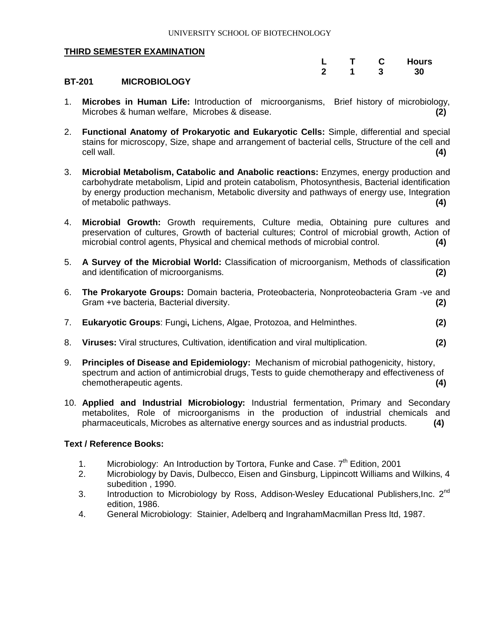|              |   | <b>Hours</b> |
|--------------|---|--------------|
| $\mathbf{2}$ | 3 | 30           |

#### **BT-201 MICROBIOLOGY**

- 1. **Microbes in Human Life:** Introduction of microorganisms, Brief history of microbiology, Microbes & human welfare, Microbes & disease. **(2)**
- 2. **Functional Anatomy of Prokaryotic and Eukaryotic Cells:** Simple, differential and special stains for microscopy, Size, shape and arrangement of bacterial cells, Structure of the cell and cell wall. **(4)**
- 3. **Microbial Metabolism, Catabolic and Anabolic reactions:** Enzymes, energy production and carbohydrate metabolism, Lipid and protein catabolism, Photosynthesis, Bacterial identification by energy production mechanism, Metabolic diversity and pathways of energy use, Integration of metabolic pathways. **(4)**
- 4. **Microbial Growth:** Growth requirements, Culture media, Obtaining pure cultures and preservation of cultures, Growth of bacterial cultures; Control of microbial growth, Action of microbial control agents, Physical and chemical methods of microbial control. **(4)**
- 5. **A Survey of the Microbial World:** Classification of microorganism, Methods of classification and identification of microorganisms. **(2)**
- 6. **The Prokaryote Groups:** Domain bacteria, Proteobacteria, Nonproteobacteria Gram -ve and Gram +ve bacteria, Bacterial diversity. **(2)**
- 7. **Eukaryotic Groups**: Fungi**,** Lichens, Algae, Protozoa, and Helminthes. **(2)**
- 8. **Viruses:** Viral structures, Cultivation, identification and viral multiplication. **(2)**
- 9. **Principles of Disease and Epidemiology:** Mechanism of microbial pathogenicity, history, spectrum and action of antimicrobial drugs, Tests to guide chemotherapy and effectiveness of chemotherapeutic agents. **(4)**
- 10. **Applied and Industrial Microbiology:** Industrial fermentation, Primary and Secondary metabolites, Role of microorganisms in the production of industrial chemicals and pharmaceuticals, Microbes as alternative energy sources and as industrial products. **(4)**

- 1. Microbiology: An Introduction by Tortora, Funke and Case.  $7<sup>th</sup>$  Edition, 2001
- 2. Microbiology by Davis, Dulbecco, Eisen and Ginsburg, Lippincott Williams and Wilkins, 4 subedition , 1990.
- 3. Introduction to Microbiology by Ross, Addison-Wesley Educational Publishers, Inc. 2<sup>nd</sup> edition, 1986.
- 4. General Microbiology: Stainier, Adelberq and IngrahamMacmillan Press ltd, 1987.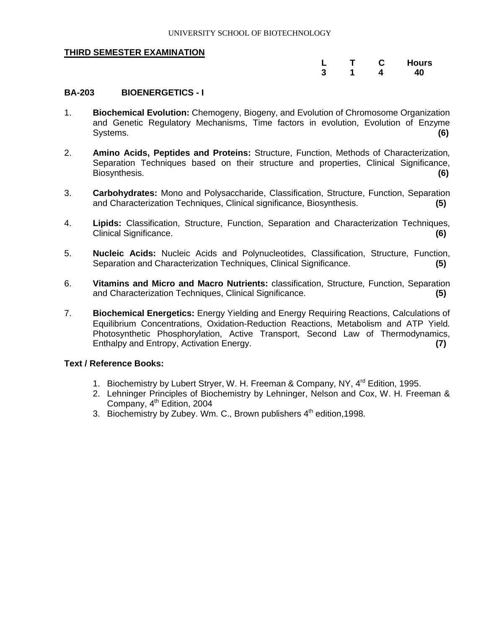|  | . . | <b>Hours</b> |
|--|-----|--------------|
|  |     | AN.          |

#### **BA-203 BIOENERGETICS - I**

- 1. **Biochemical Evolution:** Chemogeny, Biogeny, and Evolution of Chromosome Organization and Genetic Regulatory Mechanisms, Time factors in evolution, Evolution of Enzyme Systems. **(6)**
- 2. **Amino Acids, Peptides and Proteins:** Structure, Function, Methods of Characterization, Separation Techniques based on their structure and properties, Clinical Significance. Biosynthesis. **(6)**
- 3. **Carbohydrates:** Mono and Polysaccharide, Classification, Structure, Function, Separation and Characterization Techniques, Clinical significance, Biosynthesis. **(5)**
- 4. **Lipids:** Classification, Structure, Function, Separation and Characterization Techniques, Clinical Significance. **(6)**
- 5. **Nucleic Acids:** Nucleic Acids and Polynucleotides, Classification, Structure, Function, Separation and Characterization Techniques, Clinical Significance. **(5)**
- 6. **Vitamins and Micro and Macro Nutrients:** classification, Structure, Function, Separation and Characterization Techniques, Clinical Significance. **(5)**
- 7. **Biochemical Energetics:** Energy Yielding and Energy Requiring Reactions, Calculations of Equilibrium Concentrations, Oxidation-Reduction Reactions, Metabolism and ATP Yield. Photosynthetic Phosphorylation, Active Transport, Second Law of Thermodynamics, Enthalpy and Entropy, Activation Energy. **(7)**

- 1. Biochemistry by Lubert Stryer, W. H. Freeman & Company, NY, 4<sup>rd</sup> Edition, 1995.
- 2. Lehninger Principles of Biochemistry by Lehninger, Nelson and Cox, W. H. Freeman & Company, 4<sup>th</sup> Edition, 2004
- 3. Biochemistry by Zubey. Wm. C., Brown publishers  $4<sup>th</sup>$  edition, 1998.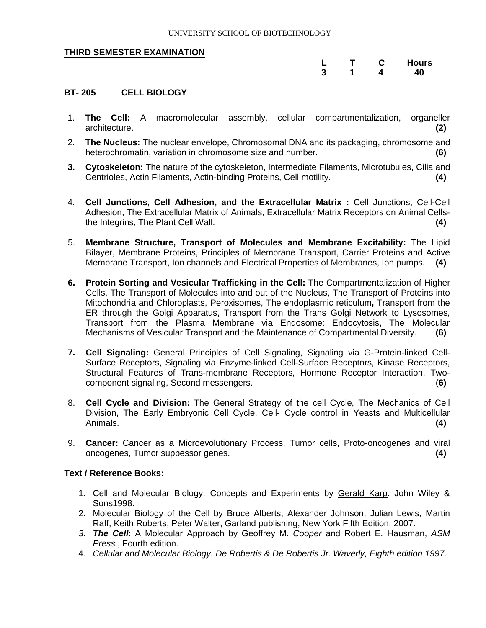|  |  | <b>Hours</b> |
|--|--|--------------|
|  |  | חו           |

#### **BT- 205 CELL BIOLOGY**

- 1. **The Cell:** A macromolecular assembly, cellular compartmentalization, organeller architecture. **(2)**
- 2. **The Nucleus:** The nuclear envelope, Chromosomal DNA and its packaging, chromosome and heterochromatin, variation in chromosome size and number. **(6)**
- **3. Cytoskeleton:** The nature of the cytoskeleton, Intermediate Filaments, Microtubules, Cilia and Centrioles, Actin Filaments, Actin-binding Proteins, Cell motility. **(4)**
- 4. **Cell Junctions, Cell Adhesion, and the Extracellular Matrix :** Cell Junctions, Cell-Cell Adhesion, The Extracellular Matrix of Animals, Extracellular Matrix Receptors on Animal Cellsthe Integrins, The Plant Cell Wall. **(4)**
- 5. **Membrane Structure, Transport of Molecules and Membrane Excitability:** The Lipid Bilayer, Membrane Proteins, Principles of Membrane Transport, Carrier Proteins and Active Membrane Transport, Ion channels and Electrical Properties of Membranes, Ion pumps. **(4)**
- **6. Protein Sorting and Vesicular Trafficking in the Cell:** The Compartmentalization of Higher Cells, The Transport of Molecules into and out of the Nucleus, The Transport of Proteins into Mitochondria and Chloroplasts, Peroxisomes, The endoplasmic reticulum**,** Transport from the ER through the Golgi Apparatus, Transport from the Trans Golgi Network to Lysosomes, Transport from the Plasma Membrane via Endosome: Endocytosis, The Molecular Mechanisms of Vesicular Transport and the Maintenance of Compartmental Diversity. **(6)**
- **7. Cell Signaling:** General Principles of Cell Signaling, Signaling via G-Protein-linked Cell-Surface Receptors, Signaling via Enzyme-linked Cell-Surface Receptors, Kinase Receptors, Structural Features of Trans-membrane Receptors, Hormone Receptor Interaction, Twocomponent signaling, Second messengers. (**6)**
- 8. **Cell Cycle and Division:** The General Strategy of the cell Cycle, The Mechanics of Cell Division, The Early Embryonic Cell Cycle, Cell- Cycle control in Yeasts and Multicellular Animals. **(4)**
- 9. **Cancer:** Cancer as a Microevolutionary Process, Tumor cells, Proto-oncogenes and viral oncogenes, Tumor suppessor genes. **(4)**

- 1. Cell and Molecular Biology: Concepts and Experiments by Gerald Karp. John Wiley & Sons1998.
- 2. Molecular Biology of the Cell by Bruce Alberts, Alexander Johnson, Julian Lewis, Martin Raff, Keith Roberts, Peter Walter, Garland publishing, New York Fifth Edition. 2007.
- *3. The Cell*: A Molecular Approach by Geoffrey M. *Cooper* and Robert E. Hausman, *ASM Press.*, Fourth edition.
- 4. *Cellular and Molecular Biology. De Robertis & De Robertis Jr. Waverly, Eighth edition 1997.*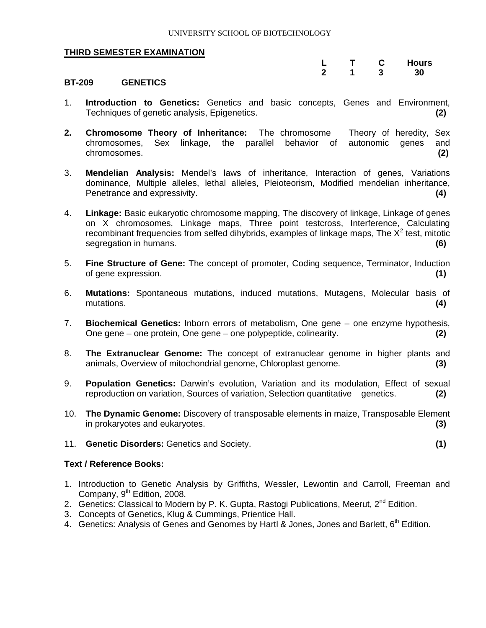|  |  | <b>Hours</b> |
|--|--|--------------|
|  |  | วก           |

#### **BT-209 GENETICS**

- 1. **Introduction to Genetics:** Genetics and basic concepts, Genes and Environment, Techniques of genetic analysis, Epigenetics. **(2)**
- **2. Chromosome Theory of Inheritance:** The chromosome Theory of heredity, Sex chromosomes, Sex linkage, the parallel behavior of autonomic genes and chromosomes. **(2)**
- 3. **Mendelian Analysis:** Mendel's laws of inheritance, Interaction of genes, Variations dominance, Multiple alleles, lethal alleles, Pleioteorism, Modified mendelian inheritance, Penetrance and expressivity. **(4)**
- 4. **Linkage:** Basic eukaryotic chromosome mapping, The discovery of linkage, Linkage of genes on X chromosomes, Linkage maps, Three point testcross, Interference, Calculating recombinant frequencies from selfed dihybrids, examples of linkage maps, The  $X^2$  test, mitotic segregation in humans. **(6)**
- 5. **Fine Structure of Gene:** The concept of promoter, Coding sequence, Terminator, Induction of gene expression. **(1)**
- 6. **Mutations:** Spontaneous mutations, induced mutations, Mutagens, Molecular basis of mutations. **(4)**
- 7. **Biochemical Genetics:** Inborn errors of metabolism, One gene one enzyme hypothesis, One gene – one protein, One gene – one polypeptide, colinearity. **(2)**
- 8. **The Extranuclear Genome:** The concept of extranuclear genome in higher plants and animals, Overview of mitochondrial genome, Chloroplast genome. **(3)**
- 9. **Population Genetics:** Darwin's evolution, Variation and its modulation, Effect of sexual reproduction on variation, Sources of variation, Selection quantitative genetics. **(2)**
- 10. **The Dynamic Genome:** Discovery of transposable elements in maize, Transposable Element in prokaryotes and eukaryotes. **(3)**
- 11. **Genetic Disorders:** Genetics and Society. **(1)**

- 1. Introduction to Genetic Analysis by Griffiths, Wessler, Lewontin and Carroll, Freeman and Company,  $9<sup>th</sup>$  Edition, 2008.
- 2. Genetics: Classical to Modern by P. K. Gupta, Rastogi Publications, Meerut, 2<sup>nd</sup> Edition.
- 3. Concepts of Genetics, Klug & Cummings, Prientice Hall.
- 4. Genetics: Analysis of Genes and Genomes by Hartl & Jones, Jones and Barlett, 6<sup>th</sup> Edition.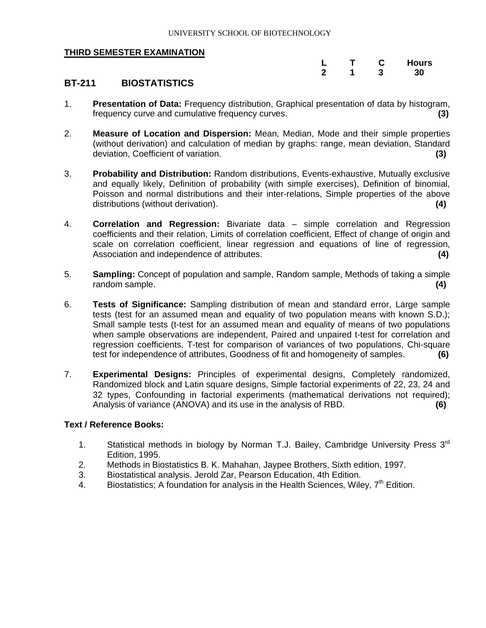|  | . . | <b>Hours</b> |
|--|-----|--------------|
|  |     | ٩N<br>       |

#### **BT-211 BIOSTATISTICS**

- 1. **Presentation of Data:** Frequency distribution, Graphical presentation of data by histogram, frequency curve and cumulative frequency curves. **(3)**
- 2. **Measure of Location and Dispersion:** Mean, Median, Mode and their simple properties (without derivation) and calculation of median by graphs: range, mean deviation, Standard deviation, Coefficient of variation. **(3)**
- 3. **Probability and Distribution:** Random distributions, Events-exhaustive, Mutually exclusive and equally likely, Definition of probability (with simple exercises), Definition of binomial, Poisson and normal distributions and their inter-relations, Simple properties of the above distributions (without derivation). **(4)**
- 4. **Correlation and Regression:** Bivariate data simple correlation and Regression coefficients and their relation, Limits of correlation coefficient, Effect of change of origin and scale on correlation coefficient, linear regression and equations of line of regression, Association and independence of attributes. **(4)**
- 5. **Sampling:** Concept of population and sample, Random sample, Methods of taking a simple random sample. **(4)**
- 6. **Tests of Significance:** Sampling distribution of mean and standard error, Large sample tests (test for an assumed mean and equality of two population means with known S.D.); Small sample tests (t-test for an assumed mean and equality of means of two populations when sample observations are independent, Paired and unpaired t-test for correlation and regression coefficients, T-test for comparison of variances of two populations, Chi-square test for independence of attributes, Goodness of fit and homogeneity of samples. **(6)**
- 7. **Experimental Designs:** Principles of experimental designs, Completely randomized, Randomized block and Latin square designs, Simple factorial experiments of 22, 23, 24 and 32 types, Confounding in factorial experiments (mathematical derivations not required); Analysis of variance (ANOVA) and its use in the analysis of RBD. **(6)**

- 1. Statistical methods in biology by Norman T.J. Bailey, Cambridge University Press 3<sup>rd</sup> Edition, 1995.
- 2. Methods in Biostatistics B. K. Mahahan, Jaypee Brothers, Sixth edition, 1997.
- 3. Biostatistical analysis. Jerold Zar, Pearson Education, 4th Edition.
- 4. Biostatistics; A foundation for analysis in the Health Sciences, Wiley,  $7<sup>th</sup>$  Edition.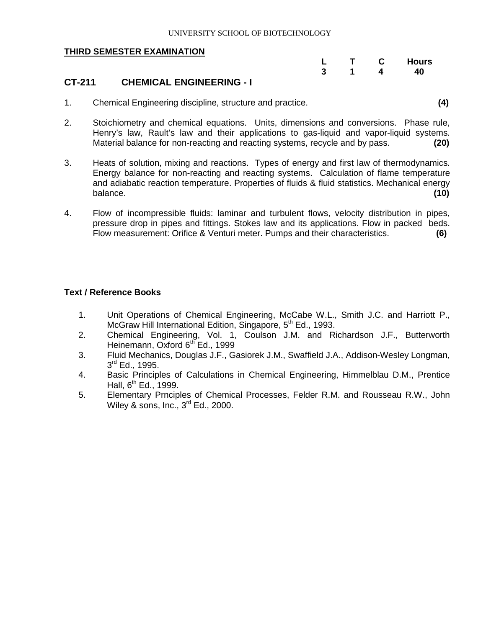|  |  | <b>Hours</b> |
|--|--|--------------|
|  |  | 40           |

#### **CT-211 CHEMICAL ENGINEERING - I**

- 1. Chemical Engineering discipline, structure and practice. **(4)**
- 2. Stoichiometry and chemical equations. Units, dimensions and conversions. Phase rule, Henry's law, Rault's law and their applications to gas-liquid and vapor-liquid systems. Material balance for non-reacting and reacting systems, recycle and by pass. **(20)**
- 3. Heats of solution, mixing and reactions. Types of energy and first law of thermodynamics. Energy balance for non-reacting and reacting systems. Calculation of flame temperature and adiabatic reaction temperature. Properties of fluids & fluid statistics. Mechanical energy balance. **(10)**
- 4. Flow of incompressible fluids: laminar and turbulent flows, velocity distribution in pipes, pressure drop in pipes and fittings. Stokes law and its applications. Flow in packed beds. Flow measurement: Orifice & Venturi meter. Pumps and their characteristics. **(6)**

- 1. Unit Operations of Chemical Engineering, McCabe W.L., Smith J.C. and Harriott P., McGraw Hill International Edition, Singapore, 5<sup>th</sup> Ed., 1993.
- 2. Chemical Engineering, Vol. 1, Coulson J.M. and Richardson J.F., Butterworth Heinemann, Oxford 6<sup>th</sup> Ed., 1999
- 3. Fluid Mechanics, Douglas J.F., Gasiorek J.M., Swaffield J.A., Addison-Wesley Longman, 3<sup>rd</sup> Ed., 1995.
- 4. Basic Principles of Calculations in Chemical Engineering, Himmelblau D.M., Prentice Hall,  $6^{th}$  Ed., 1999.
- 5. Elementary Prnciples of Chemical Processes, Felder R.M. and Rousseau R.W., John Wiley & sons,  $Inc., 3<sup>rd</sup> Ed., 2000.$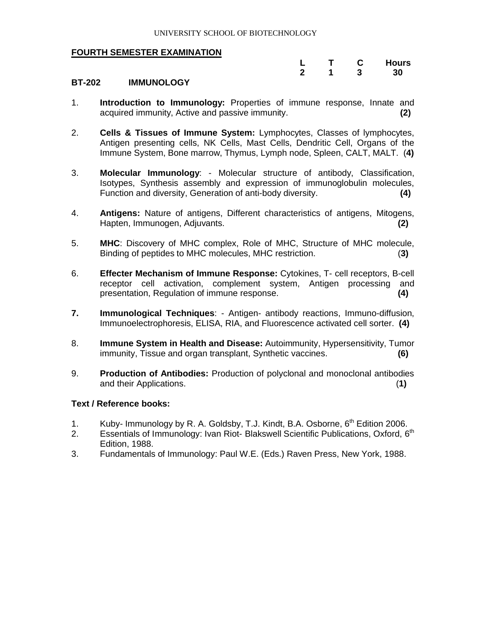|  |   | <b>Hours</b> |
|--|---|--------------|
|  | a | 30           |

#### **BT-202 IMMUNOLOGY**

- 1. **Introduction to Immunology:** Properties of immune response, Innate and acquired immunity, Active and passive immunity. **(2)**
- 2. **Cells & Tissues of Immune System:** Lymphocytes, Classes of lymphocytes, Antigen presenting cells, NK Cells, Mast Cells, Dendritic Cell, Organs of the Immune System, Bone marrow, Thymus, Lymph node, Spleen, CALT, MALT. (**4)**
- 3. **Molecular Immunology**: Molecular structure of antibody, Classification, Isotypes, Synthesis assembly and expression of immunoglobulin molecules, Function and diversity, Generation of anti-body diversity. **(4)**
- 4. **Antigens:** Nature of antigens, Different characteristics of antigens, Mitogens, Hapten, Immunogen, Adjuvants. **(2)**
- 5. **MHC**: Discovery of MHC complex, Role of MHC, Structure of MHC molecule, Binding of peptides to MHC molecules, MHC restriction.(**3)**
- 6. **Effecter Mechanism of Immune Response:** Cytokines, T- cell receptors, B-cell receptor cell activation, complement system, Antigen processing and presentation, Regulation of immune response. **(4)**
- **7. Immunological Techniques**: Antigen- antibody reactions, Immuno-diffusion, Immunoelectrophoresis, ELISA, RIA, and Fluorescence activated cell sorter. **(4)**
- 8. **Immune System in Health and Disease:** Autoimmunity, Hypersensitivity, Tumor immunity, Tissue and organ transplant, Synthetic vaccines. **(6)**
- 9. **Production of Antibodies:** Production of polyclonal and monoclonal antibodies and their Applications. (**1)**

- 1. Kuby- Immunology by R. A. Goldsby, T.J. Kindt, B.A. Osborne, 6<sup>th</sup> Edition 2006.
- 2. Essentials of Immunology: Ivan Riot- Blakswell Scientific Publications, Oxford,  $6<sup>th</sup>$ Edition, 1988.
- 3. Fundamentals of Immunology: Paul W.E. (Eds.) Raven Press, New York, 1988.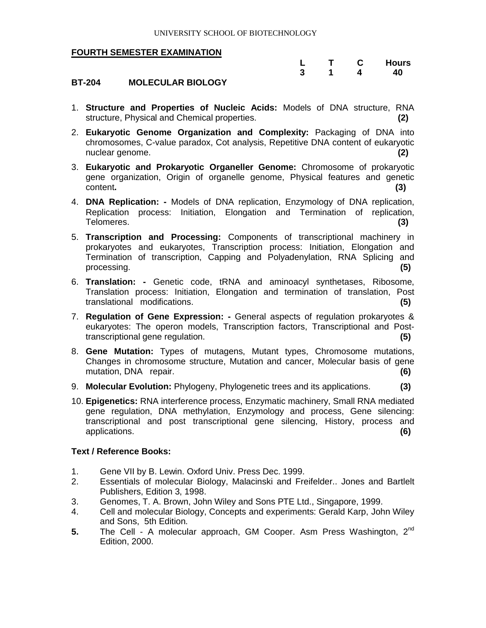|  |  | <b>Hours</b> |
|--|--|--------------|
|  |  | 40           |

#### **BT-204 MOLECULAR BIOLOGY**

- 1. **Structure and Properties of Nucleic Acids:** Models of DNA structure, RNA structure, Physical and Chemical properties. **(2)**
- 2. **Eukaryotic Genome Organization and Complexity:** Packaging of DNA into chromosomes, C-value paradox, Cot analysis, Repetitive DNA content of eukaryotic nuclear genome. **(2)**
- 3. **Eukaryotic and Prokaryotic Organeller Genome:** Chromosome of prokaryotic gene organization, Origin of organelle genome, Physical features and genetic content**. (3)**
- 4. **DNA Replication: -** Models of DNA replication, Enzymology of DNA replication, Replication process: Initiation, Elongation and Termination of replication, Telomeres. **(3)**
- 5. **Transcription and Processing:** Components of transcriptional machinery in prokaryotes and eukaryotes, Transcription process: Initiation, Elongation and Termination of transcription, Capping and Polyadenylation, RNA Splicing and processing. **(5)**
- 6. **Translation: -** Genetic code, tRNA and aminoacyl synthetases, Ribosome, Translation process: Initiation, Elongation and termination of translation, Post translational modifications. **(5)**
- 7. **Regulation of Gene Expression: -** General aspects of regulation prokaryotes & eukaryotes: The operon models, Transcription factors, Transcriptional and Posttranscriptional gene regulation. **(5)**
- 8. **Gene Mutation:** Types of mutagens, Mutant types, Chromosome mutations, Changes in chromosome structure, Mutation and cancer, Molecular basis of gene mutation, DNA repair. **(6)**
- 9. **Molecular Evolution:** Phylogeny, Phylogenetic trees and its applications. **(3)**
- 10. **Epigenetics:** RNA interference process, Enzymatic machinery, Small RNA mediated gene regulation, DNA methylation, Enzymology and process, Gene silencing: transcriptional and post transcriptional gene silencing, History, process and applications. **(6)**

- 1. Gene VII by B. Lewin. Oxford Univ. Press Dec. 1999.
- 2. Essentials of molecular Biology, Malacinski and Freifelder.. Jones and Bartlelt Publishers, Edition 3, 1998.
- 3. Genomes, T. A. Brown, John Wiley and Sons PTE Ltd., Singapore, 1999.
- 4. Cell and molecular Biology, Concepts and experiments: Gerald Karp, John Wiley and Sons, 5th Edition.
- **5.** The Cell A molecular approach, GM Cooper. Asm Press Washington, 2<sup>nd</sup> Edition, 2000.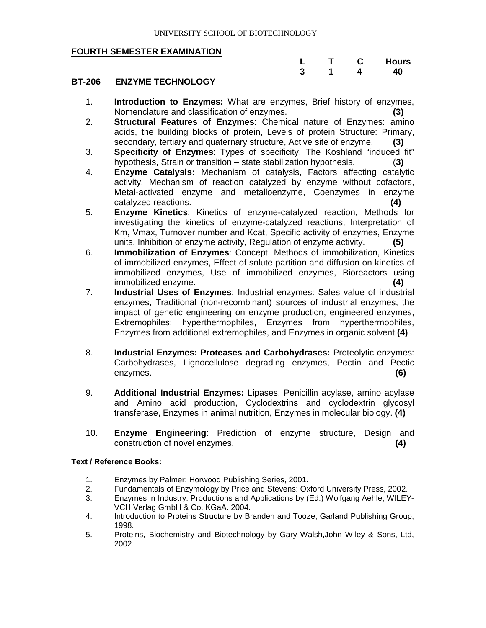|  |  | <b>Hours</b> |
|--|--|--------------|
|  |  | 40           |

#### **BT-206 ENZYME TECHNOLOGY**

- 1. **Introduction to Enzymes:** What are enzymes, Brief history of enzymes, Nomenclature and classification of enzymes. **(3)**
- 2. **Structural Features of Enzymes**: Chemical nature of Enzymes: amino acids, the building blocks of protein, Levels of protein Structure: Primary, secondary, tertiary and quaternary structure, Active site of enzyme. **(3)**
- 3. **Specificity of Enzymes**: Types of specificity, The Koshland "induced fit" hypothesis, Strain or transition – state stabilization hypothesis. (**3)**
- 4. **Enzyme Catalysis:** Mechanism of catalysis, Factors affecting catalytic activity, Mechanism of reaction catalyzed by enzyme without cofactors, Metal-activated enzyme and metalloenzyme, Coenzymes in enzyme catalyzed reactions. **(4)**
- 5. **Enzyme Kinetics**: Kinetics of enzyme-catalyzed reaction, Methods for investigating the kinetics of enzyme-catalyzed reactions, Interpretation of Km, Vmax, Turnover number and Kcat, Specific activity of enzymes, Enzyme units, Inhibition of enzyme activity, Regulation of enzyme activity. **(5)**
- 6. **Immobilization of Enzymes**: Concept, Methods of immobilization, Kinetics of immobilized enzymes, Effect of solute partition and diffusion on kinetics of immobilized enzymes, Use of immobilized enzymes, Bioreactors using immobilized enzyme. **(4)**
- 7. **Industrial Uses of Enzymes**: Industrial enzymes: Sales value of industrial enzymes, Traditional (non-recombinant) sources of industrial enzymes, the impact of genetic engineering on enzyme production, engineered enzymes, Extremophiles: hyperthermophiles, Enzymes from hyperthermophiles, Enzymes from additional extremophiles, and Enzymes in organic solvent.**(4)**
- 8. **Industrial Enzymes: Proteases and Carbohydrases:** Proteolytic enzymes: Carbohydrases, Lignocellulose degrading enzymes, Pectin and Pectic enzymes. **(6)**
- 9. **Additional Industrial Enzymes:** Lipases, Penicillin acylase, amino acylase and Amino acid production, Cyclodextrins and cyclodextrin glycosyl transferase, Enzymes in animal nutrition, Enzymes in molecular biology. **(4)**
- 10. **Enzyme Engineering**: Prediction of enzyme structure, Design and construction of novel enzymes. **(4)**

- 1. Enzymes by Palmer: Horwood Publishing Series, 2001.<br>2. Fundamentals of Enzymology by Price and Stevens: Ox
- 2. Fundamentals of Enzymology by Price and Stevens: Oxford University Press, 2002.<br>3. Enzymes in Industry: Productions and Applications by (Ed.) Wolfgang Aehle, WILEY
- 3. Enzymes in Industry: Productions and Applications by (Ed.) Wolfgang Aehle, WILEY-VCH Verlag GmbH & Co. KGaA. 2004.
- 4. Introduction to Proteins Structure by Branden and Tooze, Garland Publishing Group, 1998.
- 5. Proteins, Biochemistry and Biotechnology by Gary Walsh,John Wiley & Sons, Ltd, 2002.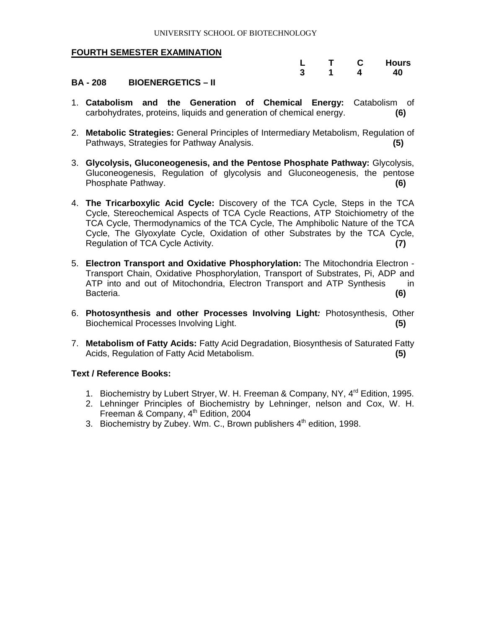|  | C | <b>Hours</b> |
|--|---|--------------|
|  |   | 40           |

#### **BA - 208 BIOENERGETICS – II**

- 1. **Catabolism and the Generation of Chemical Energy:** Catabolism of carbohydrates, proteins, liquids and generation of chemical energy. **(6)**
- 2. **Metabolic Strategies:** General Principles of Intermediary Metabolism, Regulation of Pathways, Strategies for Pathway Analysis. **(5)**
- 3. **Glycolysis, Gluconeogenesis, and the Pentose Phosphate Pathway:** Glycolysis, Gluconeogenesis, Regulation of glycolysis and Gluconeogenesis, the pentose Phosphate Pathway. **(6)**
- 4. **The Tricarboxylic Acid Cycle:** Discovery of the TCA Cycle, Steps in the TCA Cycle, Stereochemical Aspects of TCA Cycle Reactions, ATP Stoichiometry of the TCA Cycle, Thermodynamics of the TCA Cycle, The Amphibolic Nature of the TCA Cycle, The Glyoxylate Cycle, Oxidation of other Substrates by the TCA Cycle, Regulation of TCA Cycle Activity. **(7)**
- 5. **Electron Transport and Oxidative Phosphorylation:** The Mitochondria Electron Transport Chain, Oxidative Phosphorylation, Transport of Substrates, Pi, ADP and ATP into and out of Mitochondria, Electron Transport and ATP Synthesis in Bacteria. **(6)**
- 6. **Photosynthesis and other Processes Involving Light***:* Photosynthesis, Other Biochemical Processes Involving Light. **(5)**
- 7. **Metabolism of Fatty Acids:** Fatty Acid Degradation, Biosynthesis of Saturated Fatty Acids, Regulation of Fatty Acid Metabolism. **(5)**

- 1. Biochemistry by Lubert Stryer, W. H. Freeman & Company, NY, 4<sup>rd</sup> Edition, 1995.
- 2. Lehninger Principles of Biochemistry by Lehninger, nelson and Cox, W. H. Freeman & Company,  $4<sup>th</sup>$  Edition, 2004
- 3. Biochemistry by Zubey. Wm. C., Brown publishers  $4^{\text{th}}$  edition, 1998.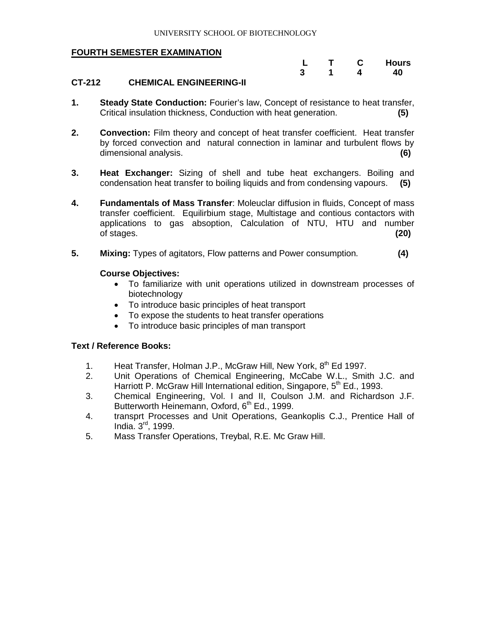|  | L. | <b>Hours</b> |
|--|----|--------------|
|  |    | 40           |

#### **CT-212 CHEMICAL ENGINEERING-II**

- **1. Steady State Conduction:** Fourier's law, Concept of resistance to heat transfer, Critical insulation thickness, Conduction with heat generation. **(5)**
- **2. Convection:** Film theory and concept of heat transfer coefficient. Heat transfer by forced convection and natural connection in laminar and turbulent flows by dimensional analysis. **(6)**
- **3. Heat Exchanger:** Sizing of shell and tube heat exchangers. Boiling and condensation heat transfer to boiling liquids and from condensing vapours. **(5)**
- **4. Fundamentals of Mass Transfer**: Moleuclar diffusion in fluids, Concept of mass transfer coefficient. Equilirbium stage, Multistage and contious contactors with applications to gas absoption, Calculation of NTU, HTU and number of stages. **(20)**
- **5. Mixing:** Types of agitators, Flow patterns and Power consumption. **(4)**

**Course Objectives:**

- To familiarize with unit operations utilized in downstream processes of biotechnology
- To introduce basic principles of heat transport
- To expose the students to heat transfer operations
- To introduce basic principles of man transport

- 1. Heat Transfer, Holman J.P., McGraw Hill, New York,  $8<sup>th</sup>$  Ed 1997.
- 2. Unit Operations of Chemical Engineering, McCabe W.L., Smith J.C. and Harriott P. McGraw Hill International edition, Singapore, 5<sup>th</sup> Ed., 1993.
- 3. Chemical Engineering, Vol. I and II, Coulson J.M. and Richardson J.F. Butterworth Heinemann, Oxford, 6<sup>th</sup> Ed., 1999.
- 4. transprt Processes and Unit Operations, Geankoplis C.J., Prentice Hall of India. 3rd, 1999.
- 5. Mass Transfer Operations, Treybal, R.E. Mc Graw Hill.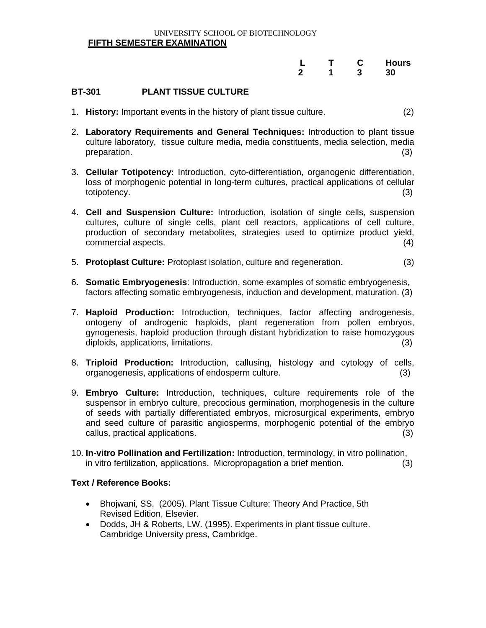#### UNIVERSITY SCHOOL OF BIOTECHNOLOGY **FIFTH SEMESTER EXAMINATION**

|  | . . | <b>Hours</b> |
|--|-----|--------------|
|  |     | RΩ<br>       |

#### **BT-301 PLANT TISSUE CULTURE**

- 1. **History:** Important events in the history of plant tissue culture. (2)
- 2. **Laboratory Requirements and General Techniques:** Introduction to plant tissue culture laboratory, tissue culture media, media constituents, media selection, media preparation. (3) preparation.
- 3. **Cellular Totipotency:** Introduction, cyto-differentiation, organogenic differentiation, loss of morphogenic potential in long-term cultures, practical applications of cellular totipotency. (3)
- 4. **Cell and Suspension Culture:** Introduction, isolation of single cells, suspension cultures, culture of single cells, plant cell reactors, applications of cell culture, production of secondary metabolites, strategies used to optimize product yield, commercial aspects. (4)
- 5. **Protoplast Culture:** Protoplast isolation, culture and regeneration. (3)
- 6. **Somatic Embryogenesis**: Introduction, some examples of somatic embryogenesis, factors affecting somatic embryogenesis, induction and development, maturation. (3)
- 7. **Haploid Production:** Introduction, techniques, factor affecting androgenesis, ontogeny of androgenic haploids, plant regeneration from pollen embryos, gynogenesis, haploid production through distant hybridization to raise homozygous diploids, applications, limitations. (3)
- 8. **Triploid Production:** Introduction, callusing, histology and cytology of cells, organogenesis, applications of endosperm culture. (3)
- 9. **Embryo Culture:** Introduction, techniques, culture requirements role of the suspensor in embryo culture, precocious germination, morphogenesis in the culture of seeds with partially differentiated embryos, microsurgical experiments, embryo and seed culture of parasitic angiosperms, morphogenic potential of the embryo callus, practical applications. (3)
- 10. **In-vitro Pollination and Fertilization:** Introduction, terminology, in vitro pollination, in vitro fertilization, applications. Micropropagation a brief mention. (3)

- Bhojwani, SS. (2005). Plant Tissue Culture: Theory And Practice, 5th Revised Edition, Elsevier.
- Dodds, JH & Roberts, LW. (1995). Experiments in plant tissue culture. Cambridge University press, Cambridge.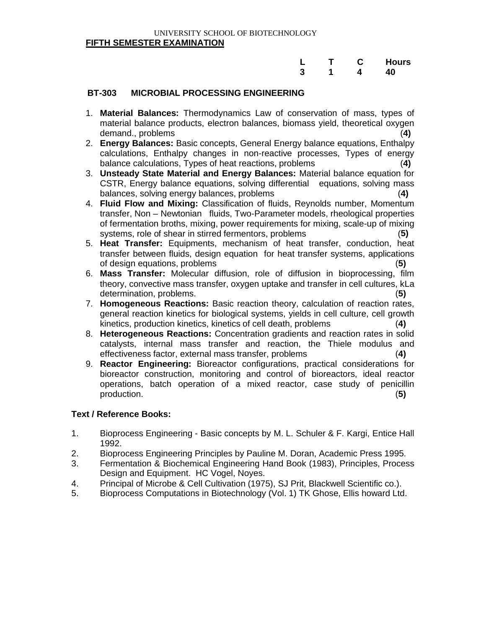#### UNIVERSITY SCHOOL OF BIOTECHNOLOGY **FIFTH SEMESTER EXAMINATION**

|  |  | L T C Hours |
|--|--|-------------|
|  |  | 3 1 4 40    |

#### **BT-303 MICROBIAL PROCESSING ENGINEERING**

- 1. **Material Balances:** Thermodynamics Law of conservation of mass, types of material balance products, electron balances, biomass yield, theoretical oxygen demand., problems (**4)**
- 2. **Energy Balances:** Basic concepts, General Energy balance equations, Enthalpy calculations, Enthalpy changes in non-reactive processes, Types of energy balance calculations, Types of heat reactions, problems (**4)**
- 3. **Unsteady State Material and Energy Balances:** Material balance equation for CSTR, Energy balance equations, solving differential equations, solving mass balances, solving energy balances, problems (**4)**
- 4. **Fluid Flow and Mixing:** Classification of fluids, Reynolds number, Momentum transfer, Non – Newtonian fluids, Two-Parameter models, rheological properties of fermentation broths, mixing, power requirements for mixing, scale-up of mixing systems, role of shear in stirred fermentors, problems (**5)**
- 5. **Heat Transfer:** Equipments, mechanism of heat transfer, conduction, heat transfer between fluids, design equation for heat transfer systems, applications of design equations, problems (**5)**
- 6. **Mass Transfer:** Molecular diffusion, role of diffusion in bioprocessing, film theory, convective mass transfer, oxygen uptake and transfer in cell cultures, kLa determination, problems. (**5)**
- 7. **Homogeneous Reactions:** Basic reaction theory, calculation of reaction rates, general reaction kinetics for biological systems, yields in cell culture, cell growth kinetics, production kinetics, kinetics of cell death, problems (**4)**
- 8. **Heterogeneous Reactions:** Concentration gradients and reaction rates in solid catalysts, internal mass transfer and reaction, the Thiele modulus and effectiveness factor, external mass transfer, problems (**4)**
- 9. **Reactor Engineering:** Bioreactor configurations, practical considerations for bioreactor construction, monitoring and control of bioreactors, ideal reactor operations, batch operation of a mixed reactor, case study of penicillin production. (**5)**

- 1. Bioprocess Engineering Basic concepts by M. L. Schuler & F. Kargi, Entice Hall 1992.
- 2. Bioprocess Engineering Principles by Pauline M. Doran, Academic Press 1995.
- 3. Fermentation & Biochemical Engineering Hand Book (1983), Principles, Process Design and Equipment. HC Vogel, Noyes.
- 4. Principal of Microbe & Cell Cultivation (1975), SJ Prit, Blackwell Scientific co.).
- 5. Bioprocess Computations in Biotechnology (Vol. 1) TK Ghose, Ellis howard Ltd.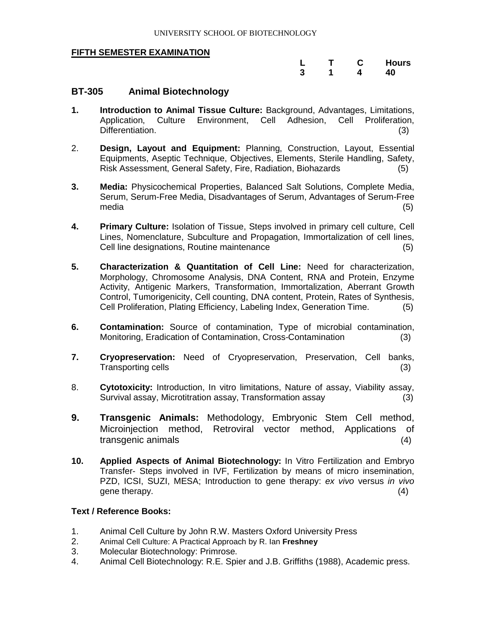|    |   | Hours |
|----|---|-------|
| -3 | 4 | 40    |

#### **BT-305 Animal Biotechnology**

- **1. Introduction to Animal Tissue Culture:** Background, Advantages, Limitations, Application, Culture Environment, Cell Adhesion, Cell Proliferation, Differentiation. (3)
- 2. **Design, Layout and Equipment:** Planning, Construction, Layout, Essential Equipments, Aseptic Technique, Objectives, Elements, Sterile Handling, Safety, Risk Assessment, General Safety, Fire, Radiation, Biohazards (5)
- **3. Media:** Physicochemical Properties, Balanced Salt Solutions, Complete Media, Serum, Serum-Free Media, Disadvantages of Serum, Advantages of Serum-Free media (5)
- **4. Primary Culture:** Isolation of Tissue, Steps involved in primary cell culture, Cell Lines, Nomenclature, Subculture and Propagation, Immortalization of cell lines, Cell line designations, Routine maintenance (5)
- **5. Characterization & Quantitation of Cell Line:** Need for characterization, Morphology, Chromosome Analysis, DNA Content, RNA and Protein, Enzyme Activity, Antigenic Markers, Transformation, Immortalization, Aberrant Growth Control, Tumorigenicity, Cell counting, DNA content, Protein, Rates of Synthesis, Cell Proliferation, Plating Efficiency, Labeling Index, Generation Time. (5)
- **6. Contamination:** Source of contamination, Type of microbial contamination, Monitoring, Eradication of Contamination, Cross-Contamination (3)
- **7. Cryopreservation:** Need of Cryopreservation, Preservation, Cell banks, Transporting cells (3) (3)
- 8. **Cytotoxicity:** Introduction, In vitro limitations, Nature of assay, Viability assay, Survival assay, Microtitration assay, Transformation assay (3)
- **9. Transgenic Animals:** Methodology, Embryonic Stem Cell method, Microinjection method, Retroviral vector method, Applications of transgenic animals (4)
- **10. Applied Aspects of Animal Biotechnology:** In Vitro Fertilization and Embryo Transfer- Steps involved in IVF, Fertilization by means of micro insemination, PZD, ICSI, SUZI, MESA; Introduction to gene therapy: *ex vivo* versus *in vivo* gene therapy.  $(4)$

- 1. Animal Cell Culture by John R.W. Masters Oxford University Press
- 2. Animal Cell Culture: A Practical Approach by R. Ian **Freshney**
- 3. Molecular Biotechnology: Primrose.
- 4. Animal Cell Biotechnology: R.E. Spier and J.B. Griffiths (1988), Academic press.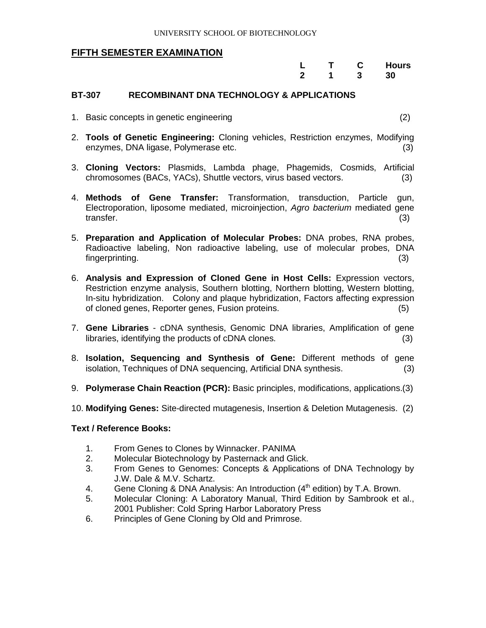|             |   | <b>Hours</b> |
|-------------|---|--------------|
| $\mathbf 2$ | 3 | 30           |

#### **BT-307 RECOMBINANT DNA TECHNOLOGY & APPLICATIONS**

1. Basic concepts in genetic engineering (2)

- 2. **Tools of Genetic Engineering:** Cloning vehicles, Restriction enzymes, Modifying enzymes, DNA ligase, Polymerase etc. (3)
- 3. **Cloning Vectors:** Plasmids, Lambda phage, Phagemids, Cosmids, Artificial chromosomes (BACs, YACs), Shuttle vectors, virus based vectors. (3)
- 4. **Methods of Gene Transfer:** Transformation, transduction, Particle gun, Electroporation, liposome mediated, microinjection, *Agro bacterium* mediated gene transfer. (3)
- 5. **Preparation and Application of Molecular Probes:** DNA probes, RNA probes, Radioactive labeling, Non radioactive labeling, use of molecular probes, DNA fingerprinting. (3)
- 6. **Analysis and Expression of Cloned Gene in Host Cells:** Expression vectors, Restriction enzyme analysis, Southern blotting, Northern blotting, Western blotting, In-situ hybridization. Colony and plaque hybridization, Factors affecting expression of cloned genes, Reporter genes, Fusion proteins. (5)
- 7. **Gene Libraries**  cDNA synthesis, Genomic DNA libraries, Amplification of gene libraries, identifying the products of cDNA clones. (3)
- 8. **Isolation, Sequencing and Synthesis of Gene:** Different methods of gene isolation, Techniques of DNA sequencing, Artificial DNA synthesis. (3)
- 9. **Polymerase Chain Reaction (PCR):** Basic principles, modifications, applications.(3)
- 10. **Modifying Genes:** Site-directed mutagenesis, Insertion & Deletion Mutagenesis. (2)

- 1. From Genes to Clones by Winnacker. PANIMA
- 2. Molecular Biotechnology by Pasternack and Glick.
- 3. From Genes to Genomes: Concepts & Applications of DNA Technology by J.W. Dale & M.V. Schartz.
- 4. Gene Cloning & DNA Analysis: An Introduction  $(4<sup>th</sup>$  edition) by T.A. Brown.
- 5. Molecular Cloning: A Laboratory Manual, Third Edition by Sambrook et al., 2001 Publisher: Cold Spring Harbor Laboratory Press
- 6. Principles of Gene Cloning by Old and Primrose.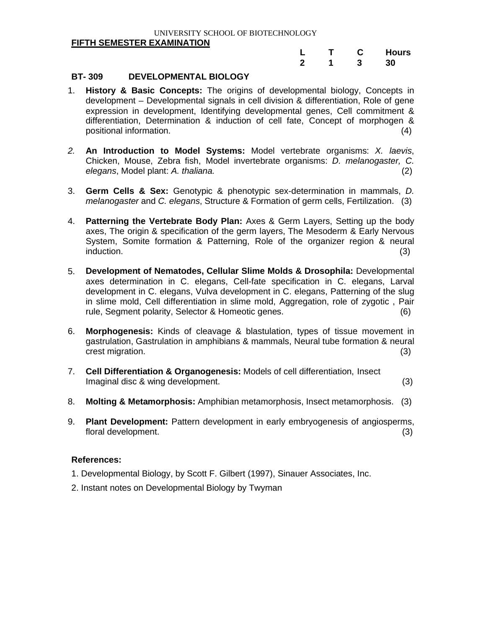#### UNIVERSITY SCHOOL OF BIOTECHNOLOGY **FIFTH SEMESTER EXAMINATION**

|   |  | <b>Hours</b> |
|---|--|--------------|
| 2 |  | 30           |

#### **BT- 309 DEVELOPMENTAL BIOLOGY**

- 1. **History & Basic Concepts:** The origins of developmental biology, Concepts in development – Developmental signals in cell division & differentiation, Role of gene expression in development, Identifying developmental genes, Cell commitment & differentiation, Determination & induction of cell fate, Concept of morphogen & positional information. (4)
- *2.* **An Introduction to Model Systems:** Model vertebrate organisms: *X. laevis*, Chicken, Mouse, Zebra fish, Model invertebrate organisms: *D. melanogaster, C. elegans*, Model plant: *A. thaliana.* (2)
- 3. **Germ Cells & Sex:** Genotypic & phenotypic sex-determination in mammals, *D. melanogaster* and *C. elegans*, Structure & Formation of germ cells, Fertilization. (3)
- 4. **Patterning the Vertebrate Body Plan:** Axes & Germ Layers, Setting up the body axes, The origin & specification of the germ layers, The Mesoderm & Early Nervous System, Somite formation & Patterning, Role of the organizer region & neural induction. (3)
- 5. **Development of Nematodes, Cellular Slime Molds & Drosophila:** Developmental axes determination in C. elegans, Cell-fate specification in C. elegans, Larval development in C. elegans, Vulva development in C. elegans, Patterning of the slug in slime mold, Cell differentiation in slime mold, Aggregation, role of zygotic , Pair rule, Segment polarity, Selector & Homeotic genes. (6)
- 6. **Morphogenesis:** Kinds of cleavage & blastulation, types of tissue movement in gastrulation, Gastrulation in amphibians & mammals, Neural tube formation & neural crest migration. (3) (3)
- 7. **Cell Differentiation & Organogenesis:** Models of cell differentiation, Insect Imaginal disc & wing development. (3)
- 8. **Molting & Metamorphosis:** Amphibian metamorphosis, Insect metamorphosis. (3)
- 9. **Plant Development:** Pattern development in early embryogenesis of angiosperms, floral development. (3)

#### **References:**

- 1. Developmental Biology, by Scott F. Gilbert (1997), Sinauer Associates, Inc.
- 2. Instant notes on Developmental Biology by Twyman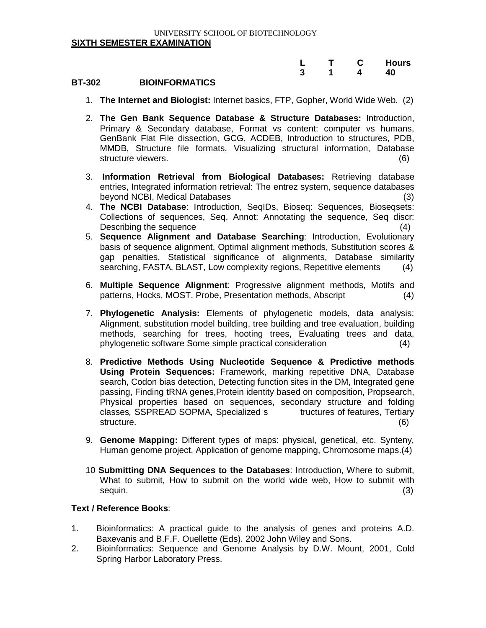|  |  | L T C Hours |
|--|--|-------------|
|  |  | 3 1 4 40    |

#### **BT-302 BIOINFORMATICS**

- 1. **The Internet and Biologist:** Internet basics, FTP, Gopher, World Wide Web. (2)
- 2. **The Gen Bank Sequence Database & Structure Databases:** Introduction, Primary & Secondary database, Format vs content: computer vs humans, GenBank Flat File dissection, GCG, ACDEB, Introduction to structures, PDB, MMDB, Structure file formats, Visualizing structural information, Database structure viewers. (6)
- 3. **Information Retrieval from Biological Databases:** Retrieving database entries, Integrated information retrieval: The entrez system, sequence databases beyond NCBI, Medical Databases (3)
- 4. **The NCBI Database**: Introduction, SeqIDs, Bioseq: Sequences, Bioseqsets: Collections of sequences, Seq. Annot: Annotating the sequence, Seq discr: Describing the sequence (4) (3) and  $(4)$
- 5. **Sequence Alignment and Database Searching**: Introduction, Evolutionary basis of sequence alignment, Optimal alignment methods, Substitution scores & gap penalties, Statistical significance of alignments, Database similarity searching, FASTA, BLAST, Low complexity regions, Repetitive elements (4)
- 6. **Multiple Sequence Alignment**: Progressive alignment methods, Motifs and patterns, Hocks, MOST, Probe, Presentation methods, Abscript (4)
- 7. **Phylogenetic Analysis:** Elements of phylogenetic models, data analysis: Alignment, substitution model building, tree building and tree evaluation, building methods, searching for trees, hooting trees, Evaluating trees and data, phylogenetic software Some simple practical consideration (4)
- 8. **Predictive Methods Using Nucleotide Sequence & Predictive methods Using Protein Sequences:** Framework, marking repetitive DNA, Database search, Codon bias detection, Detecting function sites in the DM, Integrated gene passing, Finding tRNA genes,Protein identity based on composition, Propsearch, Physical properties based on sequences, secondary structure and folding classes*,* SSPREAD SOPMA*,* Specialized s tructures of features, Tertiary structure. (6)
- 9. **Genome Mapping:** Different types of maps: physical, genetical, etc. Synteny, Human genome project, Application of genome mapping, Chromosome maps.(4)
- 10 **Submitting DNA Sequences to the Databases**: Introduction, Where to submit, What to submit, How to submit on the world wide web, How to submit with  $sequin.$  (3)

- 1. Bioinformatics: A practical guide to the analysis of genes and proteins A.D. Baxevanis and B.F.F. Ouellette (Eds). 2002 John Wiley and Sons.
- 2. Bioinformatics: Sequence and Genome Analysis by D.W. Mount, 2001, Cold Spring Harbor Laboratory Press.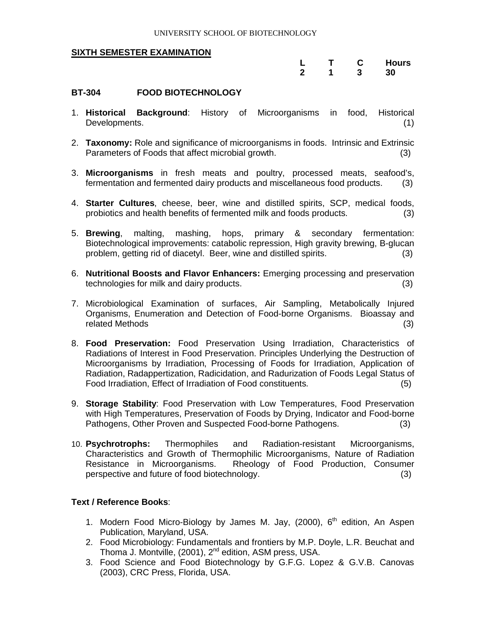|   | т |   | <b>Hours</b> |
|---|---|---|--------------|
| 2 |   | 3 | 30           |

#### **BT-304 FOOD BIOTECHNOLOGY**

- 1. **Historical Background**: History of Microorganisms in food, Historical Developments. (1)
- 2. **Taxonomy:** Role and significance of microorganisms in foods. Intrinsic and Extrinsic Parameters of Foods that affect microbial growth. (3)
- 3. **Microorganisms** in fresh meats and poultry, processed meats, seafood's, fermentation and fermented dairy products and miscellaneous food products. (3)
- 4. **Starter Cultures**, cheese, beer, wine and distilled spirits, SCP, medical foods, probiotics and health benefits of fermented milk and foods products. (3)
- 5. **Brewing**, malting, mashing, hops, primary & secondary fermentation: Biotechnological improvements: catabolic repression, High gravity brewing, B-glucan problem, getting rid of diacetyl. Beer, wine and distilled spirits. (3)
- 6. **Nutritional Boosts and Flavor Enhancers:** Emerging processing and preservation technologies for milk and dairy products. (3)
- 7. Microbiological Examination of surfaces, Air Sampling, Metabolically Injured Organisms, Enumeration and Detection of Food-borne Organisms. Bioassay and related Methods (3)
- 8. **Food Preservation:** Food Preservation Using Irradiation, Characteristics of Radiations of Interest in Food Preservation. Principles Underlying the Destruction of Microorganisms by Irradiation, Processing of Foods for Irradiation, Application of Radiation, Radappertization, Radicidation, and Radurization of Foods Legal Status of Food Irradiation, Effect of Irradiation of Food constituents. (5)
- 9. **Storage Stability**: Food Preservation with Low Temperatures, Food Preservation with High Temperatures, Preservation of Foods by Drying, Indicator and Food-borne Pathogens, Other Proven and Suspected Food-borne Pathogens. (3)
- 10. **Psychrotrophs:** Thermophiles and Radiation-resistant Microorganisms, Characteristics and Growth of Thermophilic Microorganisms, Nature of Radiation Resistance in Microorganisms. Rheology of Food Production, Consumer perspective and future of food biotechnology. (3)

- 1. Modern Food Micro-Biology by James M. Jay, (2000),  $6<sup>th</sup>$  edition, An Aspen Publication, Maryland, USA.
- 2. Food Microbiology: Fundamentals and frontiers by M.P. Doyle, L.R. Beuchat and Thoma J. Montville, (2001), 2<sup>nd</sup> edition, ASM press, USA.
- 3. Food Science and Food Biotechnology by G.F.G. Lopez & G.V.B. Canovas (2003), CRC Press, Florida, USA.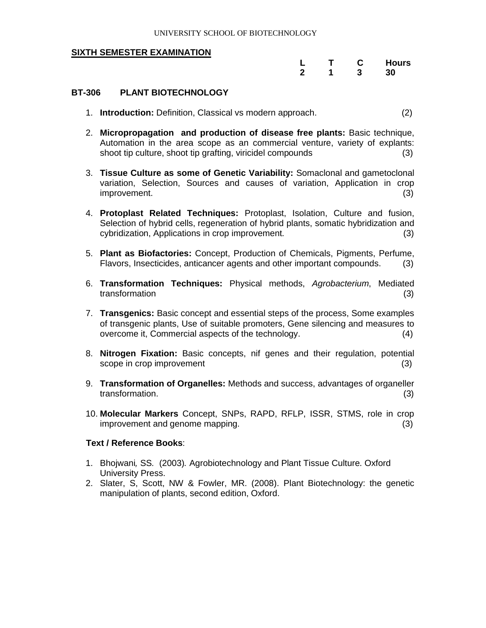|   |   | <b>Hours</b> |
|---|---|--------------|
| 2 | 3 | 30           |

#### **BT-306 PLANT BIOTECHNOLOGY**

- 1. **Introduction:** Definition, Classical vs modern approach. (2)
- 2. **Micropropagation and production of disease free plants:** Basic technique, Automation in the area scope as an commercial venture, variety of explants: shoot tip culture, shoot tip grafting, viricidel compounds (3)
- 3. **Tissue Culture as some of Genetic Variability:** Somaclonal and gametoclonal variation, Selection, Sources and causes of variation, Application in crop improvement. (3)
- 4. **Protoplast Related Techniques:** Protoplast, Isolation, Culture and fusion, Selection of hybrid cells, regeneration of hybrid plants, somatic hybridization and cybridization, Applications in crop improvement. (3)
- 5. **Plant as Biofactories:** Concept, Production of Chemicals, Pigments, Perfume, Flavors, Insecticides, anticancer agents and other important compounds. (3)
- 6. **Transformation Techniques:** Physical methods, *Agrobacterium*, Mediated transformation (3) (3)
- 7. **Transgenics:** Basic concept and essential steps of the process, Some examples of transgenic plants, Use of suitable promoters, Gene silencing and measures to overcome it, Commercial aspects of the technology. (4)
- 8. **Nitrogen Fixation:** Basic concepts, nif genes and their regulation, potential scope in crop improvement (3) (3)
- 9. **Transformation of Organelles:** Methods and success, advantages of organeller transformation. (3)
- 10. **Molecular Markers** Concept, SNPs, RAPD, RFLP, ISSR, STMS, role in crop improvement and genome mapping. (3)

- 1. Bhojwani*,* SS*.* (2003)*.* Agrobiotechnology and Plant Tissue Culture. Oxford University Press.
- 2. Slater, S, Scott, NW & Fowler, MR. (2008). Plant Biotechnology: the genetic manipulation of plants, second edition, Oxford.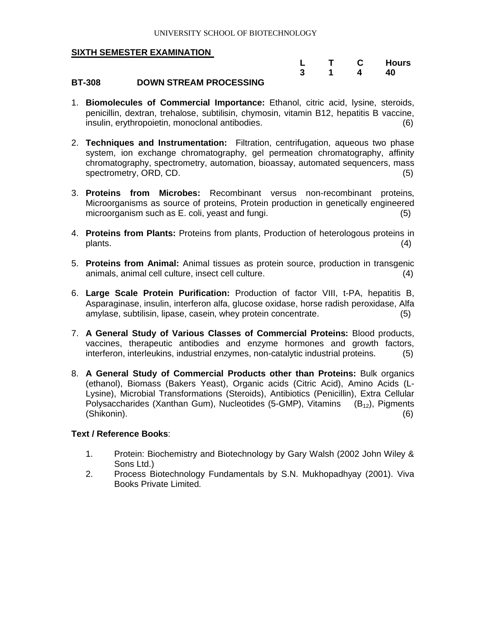|   |  | <b>Hours</b> |
|---|--|--------------|
| 3 |  | 40           |

#### **BT-308 DOWN STREAM PROCESSING**

- 1. **Biomolecules of Commercial Importance:** Ethanol, citric acid, lysine, steroids, penicillin, dextran, trehalose, subtilisin, chymosin, vitamin B12, hepatitis B vaccine, insulin, erythropoietin, monoclonal antibodies. (6)
- 2. **Techniques and Instrumentation:** Filtration, centrifugation, aqueous two phase system, ion exchange chromatography, gel permeation chromatography, affinity chromatography, spectrometry, automation, bioassay, automated sequencers, mass spectrometry, ORD, CD. (5)
- 3. **Proteins from Microbes:** Recombinant versus non-recombinant proteins, Microorganisms as source of proteins, Protein production in genetically engineered microorganism such as E. coli, yeast and fungi. (5)
- 4. **Proteins from Plants:** Proteins from plants, Production of heterologous proteins in plants. (4)
- 5. **Proteins from Animal:** Animal tissues as protein source, production in transgenic animals, animal cell culture, insect cell culture. (4)
- 6. **Large Scale Protein Purification:** Production of factor VIII, t-PA, hepatitis B, Asparaginase, insulin, interferon alfa, glucose oxidase, horse radish peroxidase, Alfa amylase, subtilisin, lipase, casein, whey protein concentrate. (5)
- 7. **A General Study of Various Classes of Commercial Proteins:** Blood products, vaccines, therapeutic antibodies and enzyme hormones and growth factors, interferon, interleukins, industrial enzymes, non-catalytic industrial proteins. (5)
- 8. **A General Study of Commercial Products other than Proteins:** Bulk organics (ethanol), Biomass (Bakers Yeast), Organic acids (Citric Acid), Amino Acids (L-Lysine), Microbial Transformations (Steroids), Antibiotics (Penicillin), Extra Cellular Polysaccharides (Xanthan Gum), Nucleotides (5-GMP), Vitamins  $(B_{12})$ , Pigments (Shikonin). (6)

- 1. Protein: Biochemistry and Biotechnology by Gary Walsh (2002 John Wiley & Sons Ltd.)
- 2. Process Biotechnology Fundamentals by S.N. Mukhopadhyay (2001). Viva Books Private Limited.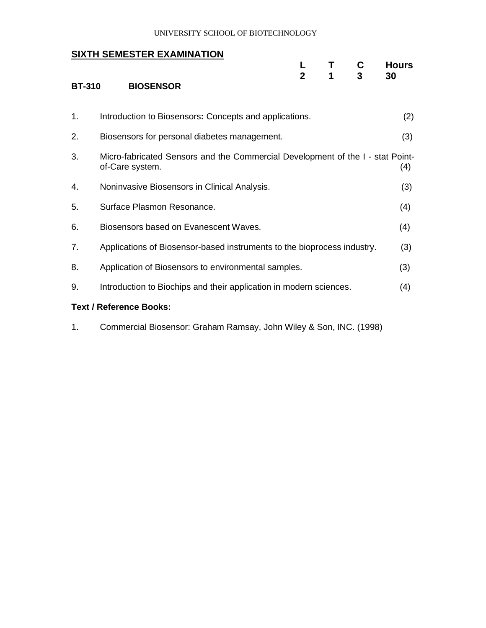#### UNIVERSITY SCHOOL OF BIOTECHNOLOGY

#### **SIXTH SEMESTER EXAMINATION**

| <b>BT-310</b> | <b>BIOSENSOR</b>                                                                                  | $\mathbf{p}$ | Τ<br>1 | C | <b>Hours</b><br>30 |
|---------------|---------------------------------------------------------------------------------------------------|--------------|--------|---|--------------------|
| 1.            | Introduction to Biosensors: Concepts and applications.                                            |              |        |   | (2)                |
| 2.            | Biosensors for personal diabetes management.                                                      |              |        |   | (3)                |
| 3.            | Micro-fabricated Sensors and the Commercial Development of the I - stat Point-<br>of-Care system. |              |        |   | (4)                |
| 4.            | Noninvasive Biosensors in Clinical Analysis.                                                      |              |        |   | (3)                |
| 5.            | Surface Plasmon Resonance.                                                                        |              |        |   | (4)                |
| 6.            | Biosensors based on Evanescent Waves.                                                             |              |        |   | (4)                |
| 7.            | Applications of Biosensor-based instruments to the bioprocess industry.                           |              |        |   | (3)                |
| 8.            | Application of Biosensors to environmental samples.                                               |              |        |   | (3)                |
| 9.            | Introduction to Biochips and their application in modern sciences.                                |              |        |   | (4)                |
|               | <b>Text / Reference Books:</b>                                                                    |              |        |   |                    |

1. Commercial Biosensor: Graham Ramsay, John Wiley & Son, INC. (1998)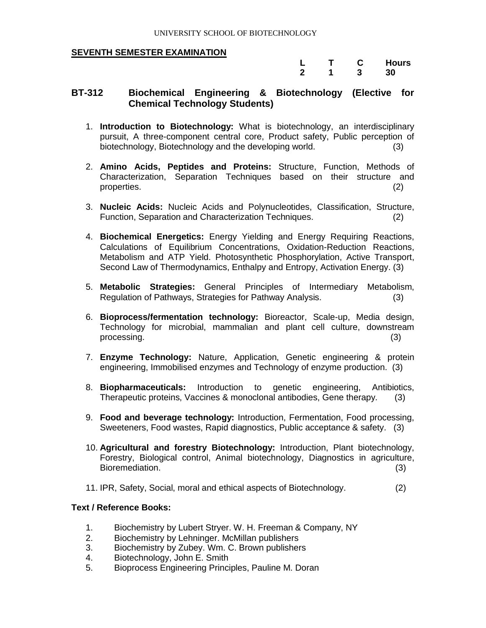|  | С | <b>Hours</b> |
|--|---|--------------|
|  |   | 30           |

#### **BT-312 Biochemical Engineering & Biotechnology (Elective for Chemical Technology Students)**

- 1. **Introduction to Biotechnology:** What is biotechnology, an interdisciplinary pursuit, A three-component central core, Product safety, Public perception of biotechnology, Biotechnology and the developing world. (3)
- 2. **Amino Acids, Peptides and Proteins:** Structure, Function, Methods of Characterization, Separation Techniques based on their structure and properties. (2)
- 3. **Nucleic Acids:** Nucleic Acids and Polynucleotides, Classification, Structure, Function, Separation and Characterization Techniques. (2)
- 4. **Biochemical Energetics:** Energy Yielding and Energy Requiring Reactions, Calculations of Equilibrium Concentrations, Oxidation-Reduction Reactions, Metabolism and ATP Yield. Photosynthetic Phosphorylation, Active Transport, Second Law of Thermodynamics, Enthalpy and Entropy, Activation Energy. (3)
- 5. **Metabolic Strategies:** General Principles of Intermediary Metabolism, Regulation of Pathways, Strategies for Pathway Analysis. (3)
- 6. **Bioprocess/fermentation technology:** Bioreactor, Scale-up, Media design, Technology for microbial, mammalian and plant cell culture, downstream processing. (3)
- 7. **Enzyme Technology:** Nature, Application, Genetic engineering & protein engineering, Immobilised enzymes and Technology of enzyme production. (3)
- 8. **Biopharmaceuticals:** Introduction to genetic engineering, Antibiotics, Therapeutic proteins, Vaccines & monoclonal antibodies, Gene therapy. (3)
- 9. **Food and beverage technology:** Introduction, Fermentation, Food processing, Sweeteners, Food wastes, Rapid diagnostics, Public acceptance & safety. (3)
- 10. **Agricultural and forestry Biotechnology:** Introduction, Plant biotechnology, Forestry, Biological control, Animal biotechnology, Diagnostics in agriculture, Bioremediation. (3)
- 11. IPR, Safety, Social, moral and ethical aspects of Biotechnology. (2)

- 1. Biochemistry by Lubert Stryer. W. H. Freeman & Company, NY
- 2. Biochemistry by Lehninger. McMillan publishers
- 3. Biochemistry by Zubey. Wm. C. Brown publishers
- 4. Biotechnology, John E. Smith
- 5. Bioprocess Engineering Principles, Pauline M. Doran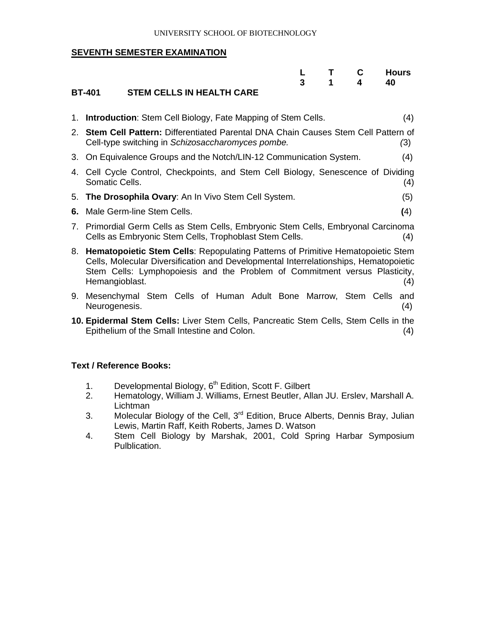#### UNIVERSITY SCHOOL OF BIOTECHNOLOGY

#### **SEVENTH SEMESTER EXAMINATION**

|                           |  | 3 1 4 | <b>T</b> C Hours<br>40 |
|---------------------------|--|-------|------------------------|
| STEM CELLS IN HEALTH CARE |  |       |                        |

#### **BT-401 STEM CELLS IN HEALTH CARE**

|    | 1. Introduction: Stem Cell Biology, Fate Mapping of Stem Cells.<br>(4)                                                                                                                                                                                                            |  |
|----|-----------------------------------------------------------------------------------------------------------------------------------------------------------------------------------------------------------------------------------------------------------------------------------|--|
|    | 2. Stem Cell Pattern: Differentiated Parental DNA Chain Causes Stem Cell Pattern of<br>Cell-type switching in Schizosaccharomyces pombe.<br>(3)                                                                                                                                   |  |
|    | 3. On Equivalence Groups and the Notch/LIN-12 Communication System.<br>(4)                                                                                                                                                                                                        |  |
|    | 4. Cell Cycle Control, Checkpoints, and Stem Cell Biology, Senescence of Dividing<br>Somatic Cells.<br>(4)                                                                                                                                                                        |  |
|    | 5. The Drosophila Ovary: An In Vivo Stem Cell System.<br>(5)                                                                                                                                                                                                                      |  |
| 6. | Male Germ-line Stem Cells.<br>(4)                                                                                                                                                                                                                                                 |  |
|    | 7. Primordial Germ Cells as Stem Cells, Embryonic Stem Cells, Embryonal Carcinoma<br>Cells as Embryonic Stem Cells, Trophoblast Stem Cells.<br>(4)                                                                                                                                |  |
|    | 8. Hematopoietic Stem Cells: Repopulating Patterns of Primitive Hematopoietic Stem<br>Cells, Molecular Diversification and Developmental Interrelationships, Hematopoietic<br>Stem Cells: Lymphopoiesis and the Problem of Commitment versus Plasticity,<br>Hemangioblast.<br>(4) |  |
|    | 9. Mesenchymal Stem Cells of Human Adult Bone Marrow, Stem Cells<br>and<br>Neurogenesis.<br>(4)                                                                                                                                                                                   |  |
|    |                                                                                                                                                                                                                                                                                   |  |

**10. Epidermal Stem Cells:** Liver Stem Cells, Pancreatic Stem Cells, Stem Cells in the Epithelium of the Small Intestine and Colon. (4)

- 1. Developmental Biology, 6<sup>th</sup> Edition, Scott F. Gilbert
- 2. Hematology, William J. Williams, Ernest Beutler, Allan JU. Erslev, Marshall A. **Lichtman**
- 3. Molecular Biology of the Cell, 3<sup>rd</sup> Edition, Bruce Alberts, Dennis Bray, Julian Lewis, Martin Raff, Keith Roberts, James D. Watson
- 4. Stem Cell Biology by Marshak, 2001, Cold Spring Harbar Symposium Pulblication.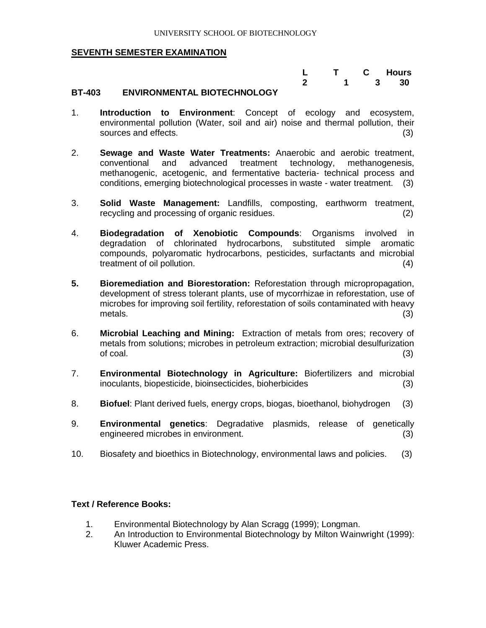|                       | L T C Hours |  |
|-----------------------|-------------|--|
| ----<br>- - - - - - - | 2 1 3 30    |  |

#### **BT-403 ENVIRONMENTAL BIOTECHNOLOGY**

- 1. **Introduction to Environment**: Concept of ecology and ecosystem, environmental pollution (Water, soil and air) noise and thermal pollution, their sources and effects. (3) (3)
- 2. **Sewage and Waste Water Treatments:** Anaerobic and aerobic treatment, conventional and advanced treatment technology, methanogenesis, methanogenic, acetogenic, and fermentative bacteria- technical process and conditions, emerging biotechnological processes in waste - water treatment. (3)
- 3. **Solid Waste Management:** Landfills, composting, earthworm treatment, recycling and processing of organic residues. (2)
- 4. **Biodegradation of Xenobiotic Compounds**: Organisms involved in degradation of chlorinated hydrocarbons, substituted simple aromatic compounds, polyaromatic hydrocarbons, pesticides, surfactants and microbial treatment of oil pollution. (4) (4)
- **5. Bioremediation and Biorestoration:** Reforestation through micropropagation, development of stress tolerant plants, use of mycorrhizae in reforestation, use of microbes for improving soil fertility, reforestation of soils contaminated with heavy metals. (3)
- 6. **Microbial Leaching and Mining:** Extraction of metals from ores; recovery of metals from solutions; microbes in petroleum extraction; microbial desulfurization  $\mathsf{of\,\, coal.}$  (3)
- 7. **Environmental Biotechnology in Agriculture:** Biofertilizers and microbial inoculants, biopesticide, bioinsecticides, bioherbicides (3)
- 8. **Biofuel**: Plant derived fuels, energy crops, biogas, bioethanol, biohydrogen (3)
- 9. **Environmental genetics**: Degradative plasmids, release of genetically engineered microbes in environment. (3)
- 10. Biosafety and bioethics in Biotechnology, environmental laws and policies. (3)

- 1. Environmental Biotechnology by Alan Scragg (1999); Longman.
- 2. An Introduction to Environmental Biotechnology by Milton Wainwright (1999): Kluwer Academic Press.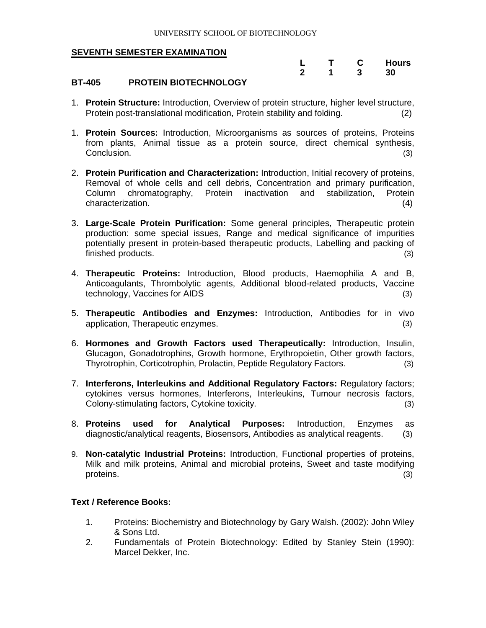|             | $\mathbf{C}$ | <b>Hours</b> |
|-------------|--------------|--------------|
| $\mathbf 2$ | 3            | 30           |

#### **BT-405 PROTEIN BIOTECHNOLOGY**

- 1. **Protein Structure:** Introduction, Overview of protein structure, higher level structure, Protein post-translational modification, Protein stability and folding. (2)
- 1. **Protein Sources:** Introduction, Microorganisms as sources of proteins, Proteins from plants, Animal tissue as a protein source, direct chemical synthesis, Conclusion. (3) (3)
- 2. **Protein Purification and Characterization:** Introduction, Initial recovery of proteins, Removal of whole cells and cell debris, Concentration and primary purification, Column chromatography, Protein inactivation and stabilization, Protein characterization. (4)
- 3. **Large-Scale Protein Purification:** Some general principles, Therapeutic protein production: some special issues, Range and medical significance of impurities potentially present in protein-based therapeutic products, Labelling and packing of finished products. (3)
- 4. **Therapeutic Proteins:** Introduction, Blood products, Haemophilia A and B, Anticoagulants, Thrombolytic agents, Additional blood-related products, Vaccine technology, Vaccines for AIDS (3)
- 5. **Therapeutic Antibodies and Enzymes:** Introduction, Antibodies for in vivo application, Therapeutic enzymes. (3)
- 6. **Hormones and Growth Factors used Therapeutically:** Introduction, Insulin, Glucagon, Gonadotrophins, Growth hormone, Erythropoietin, Other growth factors, Thyrotrophin, Corticotrophin, Prolactin, Peptide Regulatory Factors. (3)
- 7. **Interferons, Interleukins and Additional Regulatory Factors:** Regulatory factors; cytokines versus hormones, Interferons, Interleukins, Tumour necrosis factors, Colony-stimulating factors, Cytokine toxicity. (3)
- 8. **Proteins used for Analytical Purposes:** Introduction, Enzymes as diagnostic/analytical reagents, Biosensors, Antibodies as analytical reagents. (3)
- 9. **Non-catalytic Industrial Proteins:** Introduction, Functional properties of proteins, Milk and milk proteins, Animal and microbial proteins, Sweet and taste modifying proteins. (3)

- 1. Proteins: Biochemistry and Biotechnology by Gary Walsh. (2002): John Wiley & Sons Ltd.
- 2. Fundamentals of Protein Biotechnology: Edited by Stanley Stein (1990): Marcel Dekker, Inc.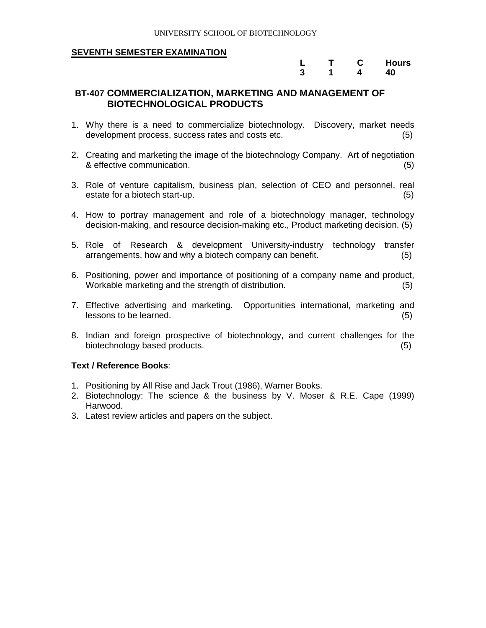|   | C | <b>Hours</b> |
|---|---|--------------|
| 3 | 4 | 40           |

#### **BT-407 COMMERCIALIZATION, MARKETING AND MANAGEMENT OF BIOTECHNOLOGICAL PRODUCTS**

- 1. Why there is a need to commercialize biotechnology. Discovery, market needs development process, success rates and costs etc. (5)
- 2. Creating and marketing the image of the biotechnology Company. Art of negotiation & effective communication. (5)
- 3. Role of venture capitalism, business plan, selection of CEO and personnel, real estate for a biotech start-up. (5)
- 4. How to portray management and role of a biotechnology manager, technology decision-making, and resource decision-making etc., Product marketing decision. (5)
- 5. Role of Research & development University-industry technology transfer arrangements, how and why a biotech company can benefit. (5)
- 6. Positioning, power and importance of positioning of a company name and product, Workable marketing and the strength of distribution. (5)
- 7. Effective advertising and marketing. Opportunities international, marketing and lessons to be learned. (5)
- 8. Indian and foreign prospective of biotechnology, and current challenges for the biotechnology based products. (5)

- 1. Positioning by All Rise and Jack Trout (1986), Warner Books.
- 2. Biotechnology: The science & the business by V. Moser & R.E. Cape (1999) Harwood.
- 3. Latest review articles and papers on the subject.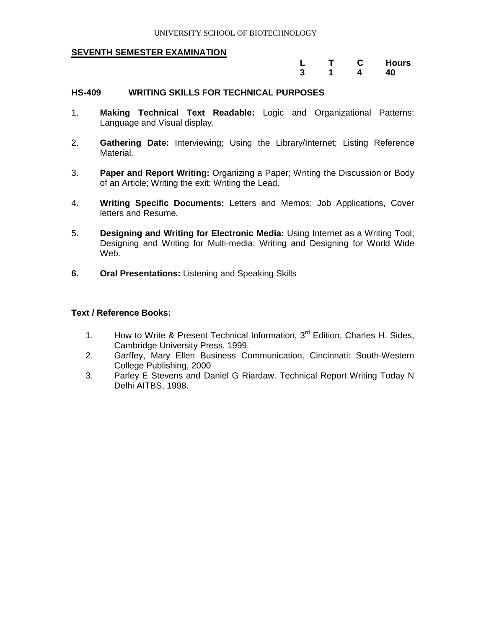|   |   | Hours |
|---|---|-------|
| 3 | 4 | 40    |

#### **HS-409 WRITING SKILLS FOR TECHNICAL PURPOSES**

- 1. **Making Technical Text Readable:** Logic and Organizational Patterns; Language and Visual display.
- 2. **Gathering Date:** Interviewing; Using the Library/Internet; Listing Reference Material.
- 3. **Paper and Report Writing:** Organizing a Paper; Writing the Discussion or Body of an Article; Writing the exit; Writing the Lead.
- 4. **Writing Specific Documents:** Letters and Memos; Job Applications, Cover letters and Resume.
- 5. **Designing and Writing for Electronic Media:** Using Internet as a Writing Tool; Designing and Writing for Multi-media; Writing and Designing for World Wide Web.
- **6. Oral Presentations:** Listening and Speaking Skills

- 1. How to Write & Present Technical Information, 3<sup>rd</sup> Edition, Charles H. Sides, Cambridge University Press. 1999.
- 2. Garffey, Mary Ellen Business Communication, Cincinnati: South-Western College Publishing, 2000
- 3. Parley E Stevens and Daniel G Riardaw. Technical Report Writing Today N Delhi AITBS, 1998.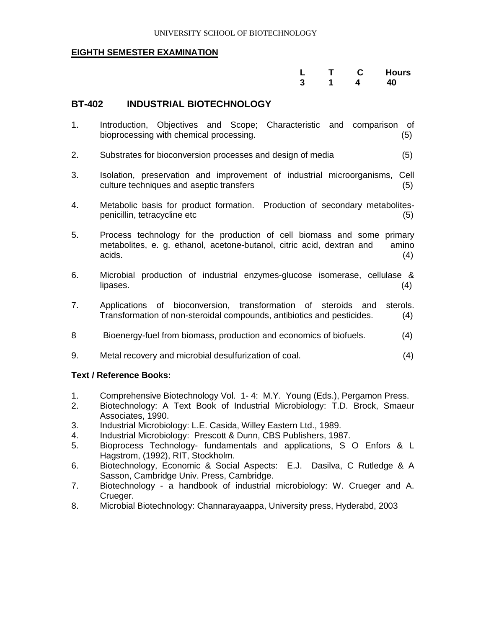|  |  | L T C Hours |
|--|--|-------------|
|  |  | 3 1 4 40    |

#### **BT-402 INDUSTRIAL BIOTECHNOLOGY**

- 1. Introduction, Objectives and Scope; Characteristic and comparison of bioprocessing with chemical processing. (5)
- 2. Substrates for bioconversion processes and design of media (5)
- 3. Isolation, preservation and improvement of industrial microorganisms, Cell culture techniques and aseptic transfers (5)
- 4. Metabolic basis for product formation. Production of secondary metabolitespenicillin, tetracycline etc (5)
- 5. Process technology for the production of cell biomass and some primary metabolites, e. g. ethanol, acetone-butanol, citric acid, dextran and amino  $acids.$  (4)
- 6. Microbial production of industrial enzymes-glucose isomerase, cellulase &  $lipases.$  (4)
- 7. Applications of bioconversion, transformation of steroids and sterols. Transformation of non-steroidal compounds, antibiotics and pesticides. (4)
- 8 Bioenergy-fuel from biomass, production and economics of biofuels. (4)
- 9. Metal recovery and microbial desulfurization of coal. (4)

- 1. Comprehensive Biotechnology Vol. 1-4: M.Y. Young (Eds.), Pergamon Press.<br>2. Biotechnology: A Text Book of Industrial Microbiology: T.D. Brock. Smaeu
- 2. Biotechnology: A Text Book of Industrial Microbiology: T.D. Brock, Smaeur Associates, 1990.
- 3. Industrial Microbiology: L.E. Casida, Willey Eastern Ltd., 1989.
- 4. Industrial Microbiology: Prescott & Dunn, CBS Publishers, 1987.
- 5. Bioprocess Technology- fundamentals and applications, S O Enfors & L Hagstrom, (1992), RIT, Stockholm.
- 6. Biotechnology, Economic & Social Aspects: E.J. Dasilva, C Rutledge & A Sasson, Cambridge Univ. Press, Cambridge.
- 7. Biotechnology a handbook of industrial microbiology: W. Crueger and A. Crueger.
- 8. Microbial Biotechnology: Channarayaappa, University press, Hyderabd, 2003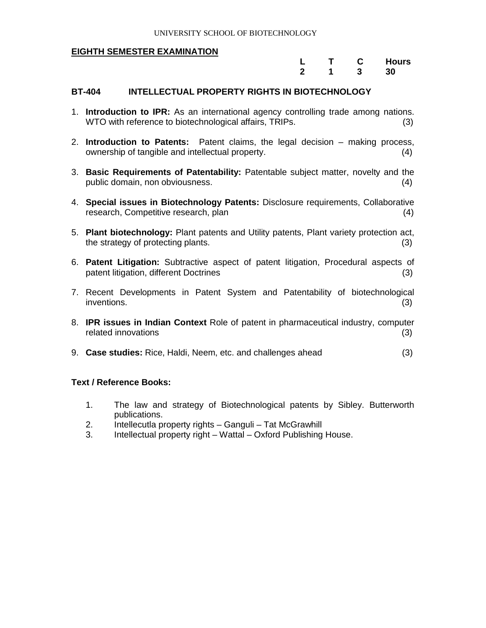|             |   | <b>Hours</b> |
|-------------|---|--------------|
| $\mathbf 2$ | 3 | 30           |

#### **BT-404 INTELLECTUAL PROPERTY RIGHTS IN BIOTECHNOLOGY**

- 1. **Introduction to IPR:** As an international agency controlling trade among nations. WTO with reference to biotechnological affairs, TRIPs. (3)
- 2. **Introduction to Patents:** Patent claims, the legal decision making process, ownership of tangible and intellectual property. (4)
- 3. **Basic Requirements of Patentability:** Patentable subject matter, novelty and the public domain, non obviousness. (4)
- 4. **Special issues in Biotechnology Patents:** Disclosure requirements, Collaborative research, Competitive research, plan (4) (4)
- 5. **Plant biotechnology:** Plant patents and Utility patents, Plant variety protection act, the strategy of protecting plants. (3)
- 6. **Patent Litigation:** Subtractive aspect of patent litigation, Procedural aspects of patent litigation, different Doctrines (3) (3)
- 7. Recent Developments in Patent System and Patentability of biotechnological inventions. (3)
- 8. **IPR issues in Indian Context** Role of patent in pharmaceutical industry, computer related innovations (3)
- 9. **Case studies:** Rice, Haldi, Neem, etc. and challenges ahead (3)

- 1. The law and strategy of Biotechnological patents by Sibley. Butterworth publications.
- 2. Intellecutla property rights Ganguli Tat McGrawhill
- 3. Intellectual property right Wattal Oxford Publishing House.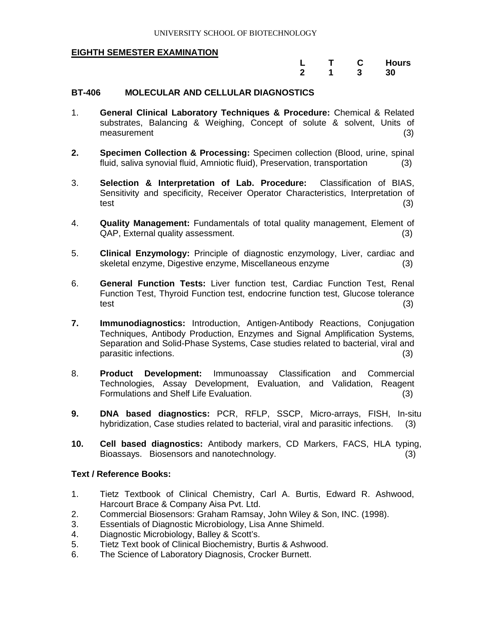|   |   | <b>Hours</b> |
|---|---|--------------|
| 2 | 3 | 30           |

#### **BT-406 MOLECULAR AND CELLULAR DIAGNOSTICS**

- 1. **General Clinical Laboratory Techniques & Procedure:** Chemical & Related substrates, Balancing & Weighing, Concept of solute & solvent, Units of measurement (3) (3)
- **2. Specimen Collection & Processing:** Specimen collection (Blood, urine, spinal fluid, saliva synovial fluid, Amniotic fluid), Preservation, transportation (3)
- 3. **Selection & Interpretation of Lab. Procedure:** Classification of BIAS, Sensitivity and specificity, Receiver Operator Characteristics, Interpretation of test (3)
- 4. **Quality Management:** Fundamentals of total quality management, Element of QAP, External quality assessment. (3)
- 5. **Clinical Enzymology:** Principle of diagnostic enzymology, Liver, cardiac and skeletal enzyme, Digestive enzyme, Miscellaneous enzyme (3)
- 6. **General Function Tests:** Liver function test, Cardiac Function Test, Renal Function Test, Thyroid Function test, endocrine function test, Glucose tolerance test (3)
- **7. Immunodiagnostics:** Introduction, Antigen-Antibody Reactions, Conjugation Techniques, Antibody Production, Enzymes and Signal Amplification Systems, Separation and Solid-Phase Systems, Case studies related to bacterial, viral and parasitic infections. (3)
- 8. **Product Development:** Immunoassay Classification and Commercial Technologies, Assay Development, Evaluation, and Validation, Reagent Formulations and Shelf Life Evaluation. (3)
- **9. DNA based diagnostics:** PCR, RFLP, SSCP, Micro-arrays, FISH, In-situ hybridization, Case studies related to bacterial, viral and parasitic infections. (3)
- **10. Cell based diagnostics:** Antibody markers, CD Markers, FACS, HLA typing, Bioassays. Biosensors and nanotechnology. (3)

- 1. Tietz Textbook of Clinical Chemistry, Carl A. Burtis, Edward R. Ashwood, Harcourt Brace & Company Aisa Pvt. Ltd.
- 2. Commercial Biosensors: Graham Ramsay, John Wiley & Son, INC. (1998).
- 3. Essentials of Diagnostic Microbiology, Lisa Anne Shimeld.
- 4. Diagnostic Microbiology, Balley & Scott's.
- 5. Tietz Text book of Clinical Biochemistry, Burtis & Ashwood.
- 6. The Science of Laboratory Diagnosis, Crocker Burnett.